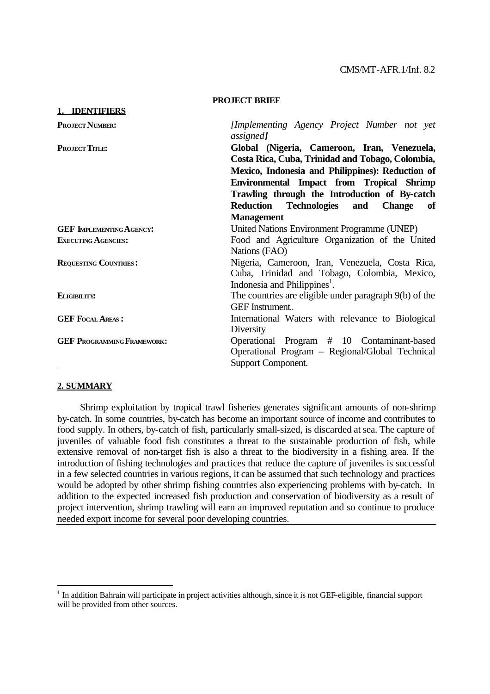|                                   | PROJECT BRIEF                                                                                                                                       |
|-----------------------------------|-----------------------------------------------------------------------------------------------------------------------------------------------------|
| 1. <b>IDENTIFIERS</b>             |                                                                                                                                                     |
| <b>PROJECT NUMBER:</b>            | [Implementing Agency Project Number not yet<br>assigned]                                                                                            |
| <b>PROJECT TITLE:</b>             | Global (Nigeria, Cameroon, Iran, Venezuela,<br>Costa Rica, Cuba, Trinidad and Tobago, Colombia,<br>Mexico, Indonesia and Philippines): Reduction of |
|                                   | Environmental Impact from Tropical Shrimp<br>Trawling through the Introduction of By-catch<br>Reduction Technologies and<br><b>Change</b><br>- of   |
|                                   | <b>Management</b>                                                                                                                                   |
| <b>GEF IMPLEMENTING AGENCY:</b>   | United Nations Environment Programme (UNEP)                                                                                                         |
| <b>EXECUTING AGENCIES:</b>        | Food and Agriculture Organization of the United<br>Nations (FAO)                                                                                    |
| <b>REQUESTING COUNTRIES:</b>      | Nigeria, Cameroon, Iran, Venezuela, Costa Rica,<br>Cuba, Trinidad and Tobago, Colombia, Mexico,<br>Indonesia and Philippines <sup>1</sup> .         |
| ELIGIBILITY:                      | The countries are eligible under paragraph 9(b) of the<br>GEF Instrument                                                                            |
| <b>GEF FOCAL AREAS:</b>           | International Waters with relevance to Biological<br>Diversity                                                                                      |
| <b>GEF PROGRAMMING FRAMEWORK:</b> | Operational Program # 10 Contaminant-based<br>Operational Program - Regional/Global Technical<br>Support Component.                                 |

**PROJECT BRIEF**

#### **2. SUMMARY**

 $\overline{a}$ 

Shrimp exploitation by tropical trawl fisheries generates significant amounts of non-shrimp by-catch. In some countries, by-catch has become an important source of income and contributes to food supply. In others, by-catch of fish, particularly small-sized, is discarded at sea. The capture of juveniles of valuable food fish constitutes a threat to the sustainable production of fish, while extensive removal of non-target fish is also a threat to the biodiversity in a fishing area. If the introduction of fishing technologies and practices that reduce the capture of juveniles is successful in a few selected countries in various regions, it can be assumed that such technology and practices would be adopted by other shrimp fishing countries also experiencing problems with by-catch. In addition to the expected increased fish production and conservation of biodiversity as a result of project intervention, shrimp trawling will earn an improved reputation and so continue to produce needed export income for several poor developing countries.

 $1$  In addition Bahrain will participate in project activities although, since it is not GEF-eligible, financial support will be provided from other sources.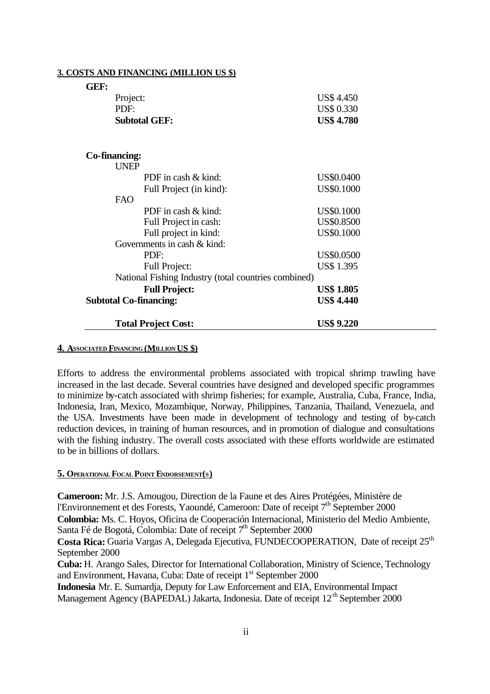| GEF:                          |                                                      |                   |
|-------------------------------|------------------------------------------------------|-------------------|
| Project:                      |                                                      | US\$4.450         |
| PDF:                          |                                                      | <b>US\$ 0.330</b> |
|                               | <b>Subtotal GEF:</b>                                 | <b>US\$ 4.780</b> |
| Co-financing:                 |                                                      |                   |
| <b>UNEP</b>                   |                                                      |                   |
|                               | PDF in cash & kind:                                  | US\$0.0400        |
|                               | Full Project (in kind):                              | <b>US\$0.1000</b> |
| <b>FAO</b>                    |                                                      |                   |
|                               | PDF in cash & kind:                                  | US\$0.1000        |
|                               | Full Project in cash:                                | US\$0.8500        |
|                               | Full project in kind:                                | <b>US\$0.1000</b> |
|                               | Governments in cash & kind:                          |                   |
|                               | PDF:                                                 | US\$0.0500        |
|                               | <b>Full Project:</b>                                 | <b>US\$</b> 1.395 |
|                               | National Fishing Industry (total countries combined) |                   |
|                               | <b>Full Project:</b>                                 | <b>US\$ 1.805</b> |
| <b>Subtotal Co-financing:</b> |                                                      | <b>US\$ 4.440</b> |
|                               | <b>Total Project Cost:</b>                           | <b>US\$ 9.220</b> |

#### **3. COSTS AND FINANCING (MILLION US \$)**

#### **4. ASSOCIATED FINANCING (MILLION US \$)**

Efforts to address the environmental problems associated with tropical shrimp trawling have increased in the last decade. Several countries have designed and developed specific programmes to minimize by-catch associated with shrimp fisheries; for example, Australia, Cuba, France, India, Indonesia, Iran, Mexico, Mozambique, Norway, Philippines, Tanzania, Thailand, Venezuela, and the USA. Investments have been made in development of technology and testing of by-catch reduction devices, in training of human resources, and in promotion of dialogue and consultations with the fishing industry. The overall costs associated with these efforts worldwide are estimated to be in billions of dollars.

#### **5. OPERATIONAL FOCAL POINT ENDORSEMENT(S)**

**Cameroon:** Mr. J.S. Amougou, Direction de la Faune et des Aires Protégées, Ministère de l'Environnement et des Forests, Yaoundé, Cameroon: Date of receipt 7<sup>th</sup> September 2000 **Colombia:** Ms. C. Hoyos, Oficina de Cooperación Internacional, Ministerio del Medio Ambiente, Santa Fé de Bogotá, Colombia: Date of receipt 7<sup>th</sup> September 2000

Costa Rica: Guaria Vargas A, Delegada Ejecutiva, FUNDECOOPERATION, Date of receipt 25<sup>th</sup> September 2000

**Cuba:** H. Arango Sales, Director for International Collaboration, Ministry of Science, Technology and Environment, Havana, Cuba: Date of receipt 1<sup>st</sup> September 2000

**Indonesia** Mr. E. Sumardja, Deputy for Law Enforcement and EIA, Environmental Impact Management Agency (BAPEDAL) Jakarta, Indonesia. Date of receipt  $12<sup>th</sup>$  September 2000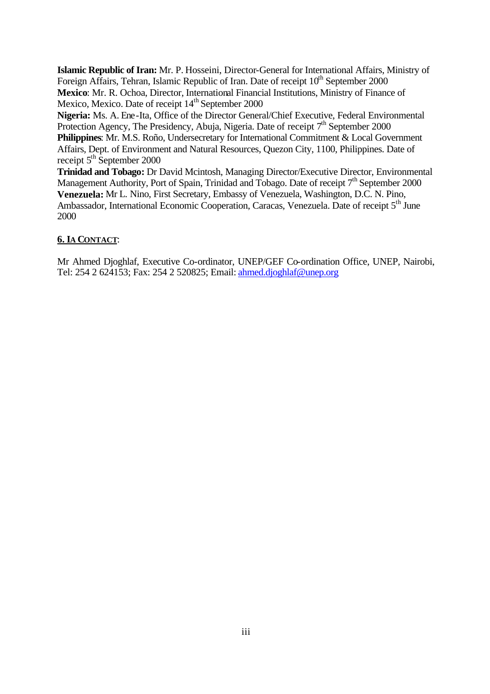**Islamic Republic of Iran:** Mr. P. Hosseini, Director-General for International Affairs, Ministry of Foreign Affairs, Tehran, Islamic Republic of Iran. Date of receipt  $10^{th}$  September 2000

**Mexico**: Mr. R. Ochoa, Director, International Financial Institutions, Ministry of Finance of Mexico, Mexico. Date of receipt 14<sup>th</sup> September 2000

**Nigeria:** Ms. A. Ene-Ita, Office of the Director General/Chief Executive, Federal Environmental Protection Agency, The Presidency, Abuja, Nigeria. Date of receipt  $7<sup>th</sup>$  September 2000 **Philippines**: Mr. M.S. Roño, Undersecretary for International Commitment & Local Government Affairs, Dept. of Environment and Natural Resources, Quezon City, 1100, Philippines. Date of receipt  $5<sup>th</sup>$  September 2000

**Trinidad and Tobago:** Dr David Mcintosh, Managing Director/Executive Director, Environmental Management Authority, Port of Spain, Trinidad and Tobago. Date of receipt  $7<sup>th</sup>$  September 2000 **Venezuela:** Mr L. Nino, First Secretary, Embassy of Venezuela, Washington, D.C. N. Pino, Ambassador, International Economic Cooperation, Caracas, Venezuela. Date of receipt 5<sup>th</sup> June 2000

### **6. IA CONTACT**:

Mr Ahmed Djoghlaf, Executive Co-ordinator, UNEP/GEF Co-ordination Office, UNEP, Nairobi, Tel: 254 2 624153; Fax: 254 2 520825; Email: ahmed.djoghlaf@unep.org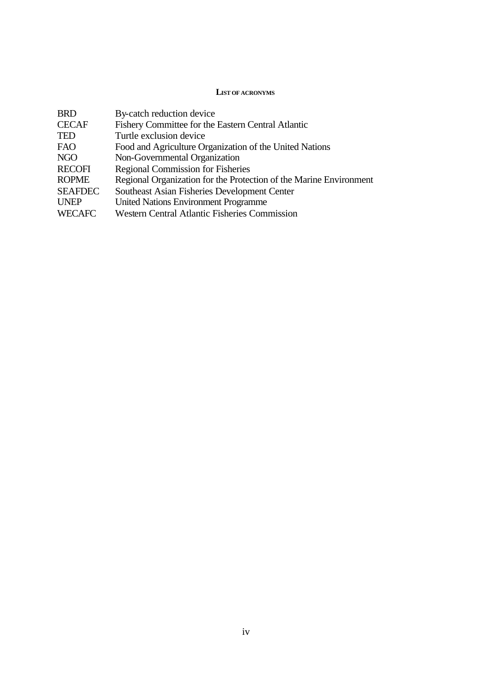#### **LIST OF ACRONYMS**

| <b>BRD</b>     | By-catch reduction device                                          |
|----------------|--------------------------------------------------------------------|
| <b>CECAF</b>   | Fishery Committee for the Eastern Central Atlantic                 |
| <b>TED</b>     | Turtle exclusion device                                            |
| <b>FAO</b>     | Food and Agriculture Organization of the United Nations            |
| <b>NGO</b>     | Non-Governmental Organization                                      |
| <b>RECOFI</b>  | <b>Regional Commission for Fisheries</b>                           |
| <b>ROPME</b>   | Regional Organization for the Protection of the Marine Environment |
| <b>SEAFDEC</b> | Southeast Asian Fisheries Development Center                       |
| <b>UNEP</b>    | <b>United Nations Environment Programme</b>                        |
| <b>WECAFC</b>  | <b>Western Central Atlantic Fisheries Commission</b>               |
|                |                                                                    |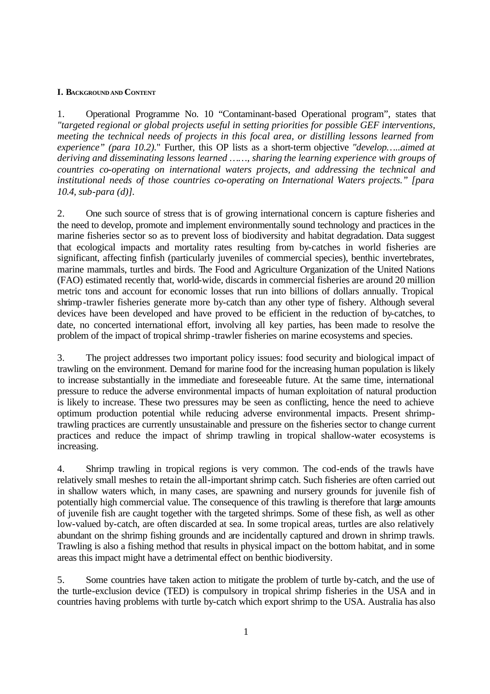#### **I. BACKGROUND AND CONTENT**

1. Operational Programme No. 10 "Contaminant-based Operational program", states that *"targeted regional or global projects useful in setting priorities for possible GEF interventions, meeting the technical needs of projects in this focal area, or distilling lessons learned from experience" (para 10.2).*" Further, this OP lists as a short-term objective *"develop…..aimed at deriving and disseminating lessons learned ……, sharing the learning experience with groups of countries co-operating on international waters projects, and addressing the technical and institutional needs of those countries co-operating on International Waters projects." [para 10.4, sub-para (d)].*

2. One such source of stress that is of growing international concern is capture fisheries and the need to develop, promote and implement environmentally sound technology and practices in the marine fisheries sector so as to prevent loss of biodiversity and habitat degradation. Data suggest that ecological impacts and mortality rates resulting from by-catches in world fisheries are significant, affecting finfish (particularly juveniles of commercial species), benthic invertebrates, marine mammals, turtles and birds. The Food and Agriculture Organization of the United Nations (FAO) estimated recently that, world-wide, discards in commercial fisheries are around 20 million metric tons and account for economic losses that run into billions of dollars annually. Tropical shrimp-trawler fisheries generate more by-catch than any other type of fishery. Although several devices have been developed and have proved to be efficient in the reduction of by-catches, to date, no concerted international effort, involving all key parties, has been made to resolve the problem of the impact of tropical shrimp -trawler fisheries on marine ecosystems and species.

3. The project addresses two important policy issues: food security and biological impact of trawling on the environment. Demand for marine food for the increasing human population is likely to increase substantially in the immediate and foreseeable future. At the same time, international pressure to reduce the adverse environmental impacts of human exploitation of natural production is likely to increase. These two pressures may be seen as conflicting, hence the need to achieve optimum production potential while reducing adverse environmental impacts. Present shrimptrawling practices are currently unsustainable and pressure on the fisheries sector to change current practices and reduce the impact of shrimp trawling in tropical shallow-water ecosystems is increasing.

4. Shrimp trawling in tropical regions is very common. The cod-ends of the trawls have relatively small meshes to retain the all-important shrimp catch. Such fisheries are often carried out in shallow waters which, in many cases, are spawning and nursery grounds for juvenile fish of potentially high commercial value. The consequence of this trawling is therefore that large amounts of juvenile fish are caught together with the targeted shrimps. Some of these fish, as well as other low-valued by-catch, are often discarded at sea. In some tropical areas, turtles are also relatively abundant on the shrimp fishing grounds and are incidentally captured and drown in shrimp trawls. Trawling is also a fishing method that results in physical impact on the bottom habitat, and in some areas this impact might have a detrimental effect on benthic biodiversity.

5. Some countries have taken action to mitigate the problem of turtle by-catch, and the use of the turtle-exclusion device (TED) is compulsory in tropical shrimp fisheries in the USA and in countries having problems with turtle by-catch which export shrimp to the USA. Australia has also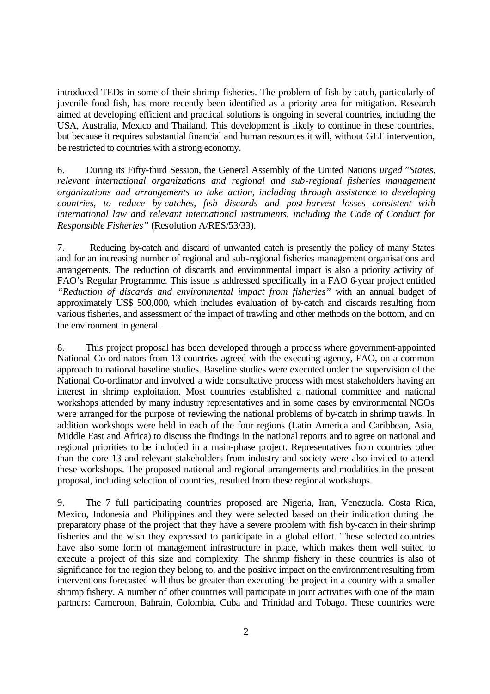introduced TEDs in some of their shrimp fisheries. The problem of fish by-catch, particularly of juvenile food fish, has more recently been identified as a priority area for mitigation. Research aimed at developing efficient and practical solutions is ongoing in several countries, including the USA, Australia, Mexico and Thailand. This development is likely to continue in these countries, but because it requires substantial financial and human resources it will, without GEF intervention, be restricted to countries with a strong economy.

6. During its Fifty-third Session, the General Assembly of the United Nations *urged* "*States, relevant international organizations and regional and sub-regional fisheries management organizations and arrangements to take action, including through assistance to developing countries, to reduce by-catches, fish discards and post-harvest losses consistent with international law and relevant international instruments, including the Code of Conduct for Responsible Fisheries"* (Resolution A/RES/53/33).

7. Reducing by-catch and discard of unwanted catch is presently the policy of many States and for an increasing number of regional and sub-regional fisheries management organisations and arrangements. The reduction of discards and environmental impact is also a priority activity of FAO's Regular Programme. This issue is addressed specifically in a FAO 6-year project entitled *"Reduction of discards and environmental impact from fisheries"* with an annual budget of approximately US\$ 500,000, which includes evaluation of by-catch and discards resulting from various fisheries, and assessment of the impact of trawling and other methods on the bottom, and on the environment in general.

8. This project proposal has been developed through a process where government-appointed National Co-ordinators from 13 countries agreed with the executing agency, FAO, on a common approach to national baseline studies. Baseline studies were executed under the supervision of the National Co-ordinator and involved a wide consultative process with most stakeholders having an interest in shrimp exploitation. Most countries established a national committee and national workshops attended by many industry representatives and in some cases by environmental NGOs were arranged for the purpose of reviewing the national problems of by-catch in shrimp trawls. In addition workshops were held in each of the four regions (Latin America and Caribbean, Asia, Middle East and Africa) to discuss the findings in the national reports and to agree on national and regional priorities to be included in a main-phase project. Representatives from countries other than the core 13 and relevant stakeholders from industry and society were also invited to attend these workshops. The proposed national and regional arrangements and modalities in the present proposal, including selection of countries, resulted from these regional workshops.

9. The 7 full participating countries proposed are Nigeria, Iran, Venezuela. Costa Rica, Mexico, Indonesia and Philippines and they were selected based on their indication during the preparatory phase of the project that they have a severe problem with fish by-catch in their shrimp fisheries and the wish they expressed to participate in a global effort. These selected countries have also some form of management infrastructure in place, which makes them well suited to execute a project of this size and complexity. The shrimp fishery in these countries is also of significance for the region they belong to, and the positive impact on the environment resulting from interventions forecasted will thus be greater than executing the project in a country with a smaller shrimp fishery. A number of other countries will participate in joint activities with one of the main partners: Cameroon, Bahrain, Colombia, Cuba and Trinidad and Tobago. These countries were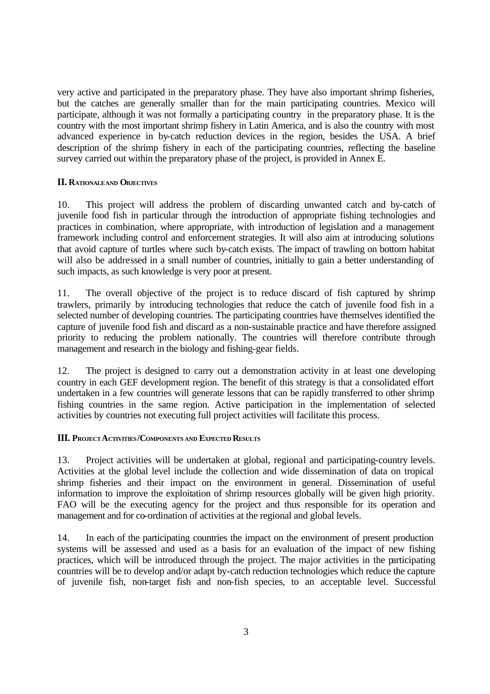very active and participated in the preparatory phase. They have also important shrimp fisheries, but the catches are generally smaller than for the main participating countries. Mexico will participate, although it was not formally a participating country in the preparatory phase. It is the country with the most important shrimp fishery in Latin America, and is also the country with most advanced experience in by-catch reduction devices in the region, besides the USA. A brief description of the shrimp fishery in each of the participating countries, reflecting the baseline survey carried out within the preparatory phase of the project, is provided in Annex E.

#### **II. RATIONALE AND OBJECTIVES**

10. This project will address the problem of discarding unwanted catch and by-catch of juvenile food fish in particular through the introduction of appropriate fishing technologies and practices in combination, where appropriate, with introduction of legislation and a management framework including control and enforcement strategies. It will also aim at introducing solutions that avoid capture of turtles where such by-catch exists. The impact of trawling on bottom habitat will also be addressed in a small number of countries, initially to gain a better understanding of such impacts, as such knowledge is very poor at present.

11. The overall objective of the project is to reduce discard of fish captured by shrimp trawlers, primarily by introducing technologies that reduce the catch of juvenile food fish in a selected number of developing countries. The participating countries have themselves identified the capture of juvenile food fish and discard as a non-sustainable practice and have therefore assigned priority to reducing the problem nationally. The countries will therefore contribute through management and research in the biology and fishing-gear fields.

12. The project is designed to carry out a demonstration activity in at least one developing country in each GEF development region. The benefit of this strategy is that a consolidated effort undertaken in a few countries will generate lessons that can be rapidly transferred to other shrimp fishing countries in the same region. Active participation in the implementation of selected activities by countries not executing full project activities will facilitate this process.

#### **III. PROJECT ACTIVITIES/COMPONENTS AND EXPECTED RESULTS**

13. Project activities will be undertaken at global, regional and participating-country levels. Activities at the global level include the collection and wide dissemination of data on tropical shrimp fisheries and their impact on the environment in general. Dissemination of useful information to improve the exploitation of shrimp resources globally will be given high priority. FAO will be the executing agency for the project and thus responsible for its operation and management and for co-ordination of activities at the regional and global levels.

14. In each of the participating countries the impact on the environment of present production systems will be assessed and used as a basis for an evaluation of the impact of new fishing practices, which will be introduced through the project. The major activities in the participating countries will be to develop and/or adapt by-catch reduction technologies which reduce the capture of juvenile fish, non-target fish and non-fish species, to an acceptable level. Successful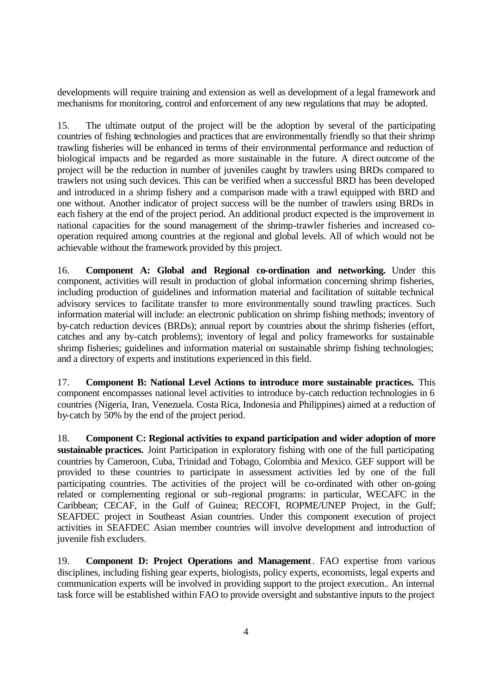developments will require training and extension as well as development of a legal framework and mechanisms for monitoring, control and enforcement of any new regulations that may be adopted.

15. The ultimate output of the project will be the adoption by several of the participating countries of fishing technologies and practices that are environmentally friendly so that their shrimp trawling fisheries will be enhanced in terms of their environmental performance and reduction of biological impacts and be regarded as more sustainable in the future. A direct outcome of the project will be the reduction in number of juveniles caught by trawlers using BRDs compared to trawlers not using such devices. This can be verified when a successful BRD has been developed and introduced in a shrimp fishery and a comparison made with a trawl equipped with BRD and one without. Another indicator of project success will be the number of trawlers using BRDs in each fishery at the end of the project period. An additional product expected is the improvement in national capacities for the sound management of the shrimp-trawler fisheries and increased cooperation required among countries at the regional and global levels. All of which would not be achievable without the framework provided by this project.

16. **Component A: Global and Regional co-ordination and networking.** Under this component, activities will result in production of global information concerning shrimp fisheries, including production of guidelines and information material and facilitation of suitable technical advisory services to facilitate transfer to more environmentally sound trawling practices. Such information material will include: an electronic publication on shrimp fishing methods; inventory of by-catch reduction devices (BRDs); annual report by countries about the shrimp fisheries (effort, catches and any by-catch problems); inventory of legal and policy frameworks for sustainable shrimp fisheries; guidelines and information material on sustainable shrimp fishing technologies; and a directory of experts and institutions experienced in this field.

17. **Component B: National Level Actions to introduce more sustainable practices.** This component encompasses national level activities to introduce by-catch reduction technologies in 6 countries (Nigeria, Iran, Venezuela. Costa Rica, Indonesia and Philippines) aimed at a reduction of by-catch by 50% by the end of the project period.

18. **Component C: Regional activities to expand participation and wider adoption of more sustainable practices.** Joint Participation in exploratory fishing with one of the full participating countries by Cameroon, Cuba, Trinidad and Tobago, Colombia and Mexico. GEF support will be provided to these countries to participate in assessment activities led by one of the full participating countries. The activities of the project will be co-ordinated with other on-going related or complementing regional or sub-regional programs: in particular, WECAFC in the Caribbean; CECAF, in the Gulf of Guinea; RECOFI, ROPME/UNEP Project, in the Gulf; SEAFDEC project in Southeast Asian countries. Under this component execution of project activities in SEAFDEC Asian member countries will involve development and introduction of juvenile fish excluders.

19. **Component D: Project Operations and Management**. FAO expertise from various disciplines, including fishing gear experts, biologists, policy experts, economists, legal experts and communication experts will be involved in providing support to the project execution.. An internal task force will be established within FAO to provide oversight and substantive inputs to the project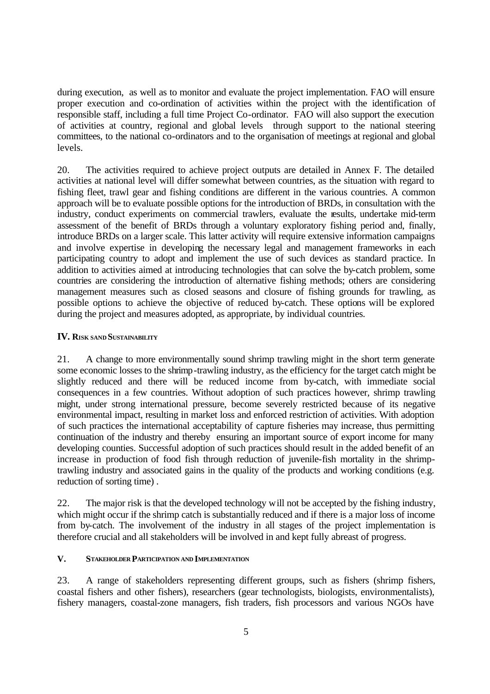during execution, as well as to monitor and evaluate the project implementation. FAO will ensure proper execution and co-ordination of activities within the project with the identification of responsible staff, including a full time Project Co-ordinator. FAO will also support the execution of activities at country, regional and global levels through support to the national steering committees, to the national co-ordinators and to the organisation of meetings at regional and global levels.

20. The activities required to achieve project outputs are detailed in Annex F. The detailed activities at national level will differ somewhat between countries, as the situation with regard to fishing fleet, trawl gear and fishing conditions are different in the various countries. A common approach will be to evaluate possible options for the introduction of BRDs, in consultation with the industry, conduct experiments on commercial trawlers, evaluate the results, undertake mid-term assessment of the benefit of BRDs through a voluntary exploratory fishing period and, finally, introduce BRDs on a larger scale. This latter activity will require extensive information campaigns and involve expertise in developing the necessary legal and management frameworks in each participating country to adopt and implement the use of such devices as standard practice. In addition to activities aimed at introducing technologies that can solve the by-catch problem, some countries are considering the introduction of alternative fishing methods; others are considering management measures such as closed seasons and closure of fishing grounds for trawling, as possible options to achieve the objective of reduced by-catch. These options will be explored during the project and measures adopted, as appropriate, by individual countries.

#### **IV. RISK SAND SUSTAINABILITY**

21. A change to more environmentally sound shrimp trawling might in the short term generate some economic losses to the shrimp-trawling industry, as the efficiency for the target catch might be slightly reduced and there will be reduced income from by-catch, with immediate social consequences in a few countries. Without adoption of such practices however, shrimp trawling might, under strong international pressure, become severely restricted because of its negative environmental impact, resulting in market loss and enforced restriction of activities. With adoption of such practices the international acceptability of capture fisheries may increase, thus permitting continuation of the industry and thereby ensuring an important source of export income for many developing counties. Successful adoption of such practices should result in the added benefit of an increase in production of food fish through reduction of juvenile-fish mortality in the shrimptrawling industry and associated gains in the quality of the products and working conditions (e.g. reduction of sorting time) .

22. The major risk is that the developed technology will not be accepted by the fishing industry, which might occur if the shrimp catch is substantially reduced and if there is a major loss of income from by-catch. The involvement of the industry in all stages of the project implementation is therefore crucial and all stakeholders will be involved in and kept fully abreast of progress.

### **V. STAKEHOLDER PARTICIPATION AND IMPLEMENTATION**

23. A range of stakeholders representing different groups, such as fishers (shrimp fishers, coastal fishers and other fishers), researchers (gear technologists, biologists, environmentalists), fishery managers, coastal-zone managers, fish traders, fish processors and various NGOs have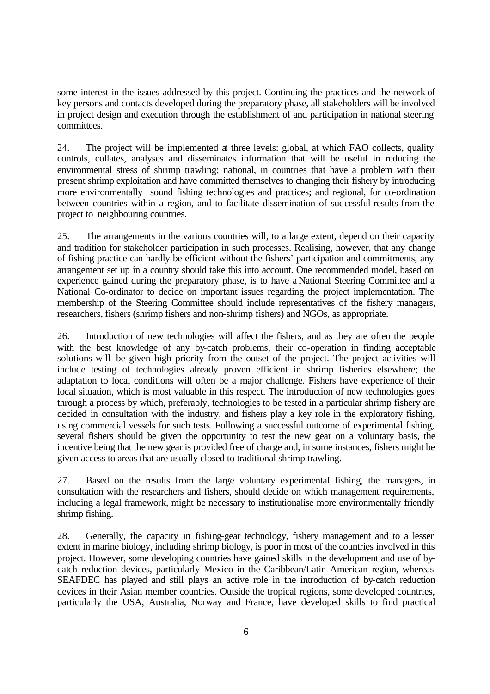some interest in the issues addressed by this project. Continuing the practices and the network of key persons and contacts developed during the preparatory phase, all stakeholders will be involved in project design and execution through the establishment of and participation in national steering committees.

24. The project will be implemented at three levels: global, at which FAO collects, quality controls, collates, analyses and disseminates information that will be useful in reducing the environmental stress of shrimp trawling; national, in countries that have a problem with their present shrimp exploitation and have committed themselves to changing their fishery by introducing more environmentally sound fishing technologies and practices; and regional, for co-ordination between countries within a region, and to facilitate dissemination of successful results from the project to neighbouring countries.

25. The arrangements in the various countries will, to a large extent, depend on their capacity and tradition for stakeholder participation in such processes. Realising, however, that any change of fishing practice can hardly be efficient without the fishers' participation and commitments, any arrangement set up in a country should take this into account. One recommended model, based on experience gained during the preparatory phase, is to have a National Steering Committee and a National Co-ordinator to decide on important issues regarding the project implementation. The membership of the Steering Committee should include representatives of the fishery managers, researchers, fishers (shrimp fishers and non-shrimp fishers) and NGOs, as appropriate.

26. Introduction of new technologies will affect the fishers, and as they are often the people with the best knowledge of any by-catch problems, their co-operation in finding acceptable solutions will be given high priority from the outset of the project. The project activities will include testing of technologies already proven efficient in shrimp fisheries elsewhere; the adaptation to local conditions will often be a major challenge. Fishers have experience of their local situation, which is most valuable in this respect. The introduction of new technologies goes through a process by which, preferably, technologies to be tested in a particular shrimp fishery are decided in consultation with the industry, and fishers play a key role in the exploratory fishing, using commercial vessels for such tests. Following a successful outcome of experimental fishing, several fishers should be given the opportunity to test the new gear on a voluntary basis, the incentive being that the new gear is provided free of charge and, in some instances, fishers might be given access to areas that are usually closed to traditional shrimp trawling.

27. Based on the results from the large voluntary experimental fishing, the managers, in consultation with the researchers and fishers, should decide on which management requirements, including a legal framework, might be necessary to institutionalise more environmentally friendly shrimp fishing.

28. Generally, the capacity in fishing-gear technology, fishery management and to a lesser extent in marine biology, including shrimp biology, is poor in most of the countries involved in this project. However, some developing countries have gained skills in the development and use of bycatch reduction devices, particularly Mexico in the Caribbean/Latin American region, whereas SEAFDEC has played and still plays an active role in the introduction of by-catch reduction devices in their Asian member countries. Outside the tropical regions, some developed countries, particularly the USA, Australia, Norway and France, have developed skills to find practical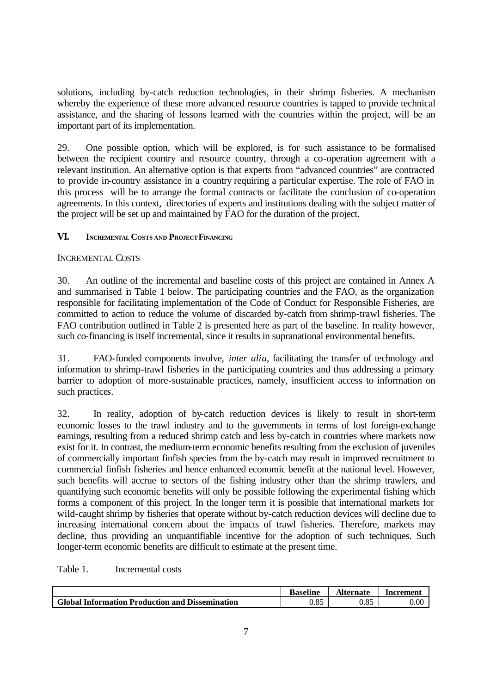solutions, including by-catch reduction technologies, in their shrimp fisheries. A mechanism whereby the experience of these more advanced resource countries is tapped to provide technical assistance, and the sharing of lessons learned with the countries within the project, will be an important part of its implementation.

29. One possible option, which will be explored, is for such assistance to be formalised between the recipient country and resource country, through a co-operation agreement with a relevant institution. An alternative option is that experts from "advanced countries" are contracted to provide in-country assistance in a country requiring a particular expertise. The role of FAO in this process will be to arrange the formal contracts or facilitate the conclusion of co-operation agreements. In this context, directories of experts and institutions dealing with the subject matter of the project will be set up and maintained by FAO for the duration of the project.

### **VI. INCREMENTAL COSTS AND PROJECT FINANCING**

### INCREMENTAL COSTS

30. An outline of the incremental and baseline costs of this project are contained in Annex A and summarised in Table 1 below. The participating countries and the FAO, as the organization responsible for facilitating implementation of the Code of Conduct for Responsible Fisheries, are committed to action to reduce the volume of discarded by-catch from shrimp-trawl fisheries. The FAO contribution outlined in Table 2 is presented here as part of the baseline. In reality however, such co-financing is itself incremental, since it results in supranational environmental benefits.

31. FAO-funded components involve, *inter alia*, facilitating the transfer of technology and information to shrimp-trawl fisheries in the participating countries and thus addressing a primary barrier to adoption of more-sustainable practices, namely, insufficient access to information on such practices.

32. In reality, adoption of by-catch reduction devices is likely to result in short-term economic losses to the trawl industry and to the governments in terms of lost foreign-exchange earnings, resulting from a reduced shrimp catch and less by-catch in countries where markets now exist for it. In contrast, the medium-term economic benefits resulting from the exclusion of juveniles of commercially important finfish species from the by-catch may result in improved recruitment to commercial finfish fisheries and hence enhanced economic benefit at the national level. However, such benefits will accrue to sectors of the fishing industry other than the shrimp trawlers, and quantifying such economic benefits will only be possible following the experimental fishing which forms a component of this project. In the longer term it is possible that international markets for wild-caught shrimp by fisheries that operate without by-catch reduction devices will decline due to increasing international concern about the impacts of trawl fisheries. Therefore, markets may decline, thus providing an unquantifiable incentive for the adoption of such techniques. Such longer-term economic benefits are difficult to estimate at the present time.

| Table 1. | Incremental costs |  |
|----------|-------------------|--|
|----------|-------------------|--|

|                                                        | <b>Baseline</b> | Alternate | Increment |
|--------------------------------------------------------|-----------------|-----------|-----------|
| <b>Global Information Production and Dissemination</b> | 0.85            | 0.85      | 0.00      |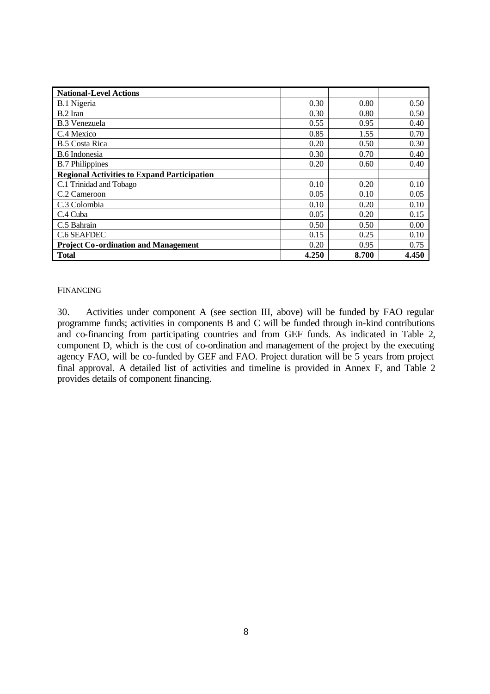| <b>National-Level Actions</b>                      |       |       |       |
|----------------------------------------------------|-------|-------|-------|
| B.1 Nigeria                                        | 0.30  | 0.80  | 0.50  |
| B.2 Iran                                           | 0.30  | 0.80  | 0.50  |
| <b>B.3 Venezuela</b>                               | 0.55  | 0.95  | 0.40  |
| C.4 Mexico                                         | 0.85  | 1.55  | 0.70  |
| <b>B.5 Costa Rica</b>                              | 0.20  | 0.50  | 0.30  |
| B.6 Indonesia                                      | 0.30  | 0.70  | 0.40  |
| <b>B.7</b> Philippines                             | 0.20  | 0.60  | 0.40  |
| <b>Regional Activities to Expand Participation</b> |       |       |       |
| C.1 Trinidad and Tobago                            | 0.10  | 0.20  | 0.10  |
| C.2 Cameroon                                       | 0.05  | 0.10  | 0.05  |
| C.3 Colombia                                       | 0.10  | 0.20  | 0.10  |
| C.4 Cuba                                           | 0.05  | 0.20  | 0.15  |
| C.5 Bahrain                                        | 0.50  | 0.50  | 0.00  |
| C.6 SEAFDEC                                        | 0.15  | 0.25  | 0.10  |
| <b>Project Co-ordination and Management</b>        | 0.20  | 0.95  | 0.75  |
| <b>Total</b>                                       | 4.250 | 8.700 | 4.450 |

#### FINANCING

30. Activities under component A (see section III, above) will be funded by FAO regular programme funds; activities in components B and C will be funded through in-kind contributions and co-financing from participating countries and from GEF funds. As indicated in Table 2, component D, which is the cost of co-ordination and management of the project by the executing agency FAO, will be co-funded by GEF and FAO. Project duration will be 5 years from project final approval. A detailed list of activities and timeline is provided in Annex F, and Table 2 provides details of component financing.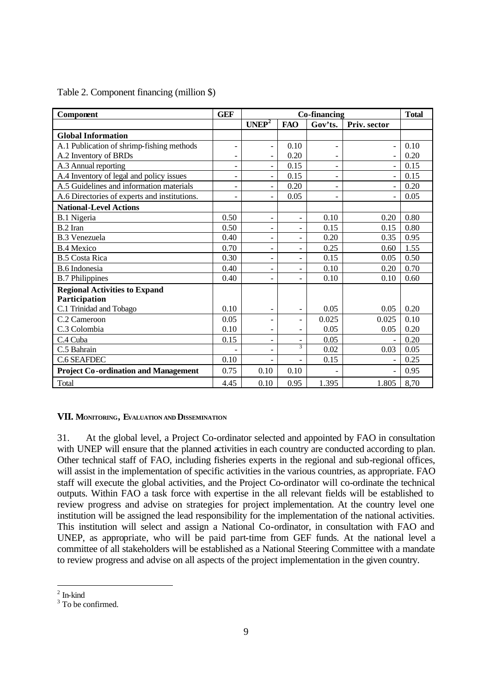| Component                                    | <b>GEF</b>               |                              | Co-financing                 |                          |                          |      |  |  |  |  |  |
|----------------------------------------------|--------------------------|------------------------------|------------------------------|--------------------------|--------------------------|------|--|--|--|--|--|
|                                              |                          | UNEP <sup>2</sup>            | <b>FAO</b>                   | Gov'ts.                  | Priv. sector             |      |  |  |  |  |  |
| <b>Global Information</b>                    |                          |                              |                              |                          |                          |      |  |  |  |  |  |
| A.1 Publication of shrimp-fishing methods    | $\qquad \qquad -$        | $\overline{\phantom{a}}$     | 0.10                         | $\overline{\phantom{0}}$ | $\overline{\phantom{a}}$ | 0.10 |  |  |  |  |  |
| A.2 Inventory of BRDs                        | $\blacksquare$           | $\equiv$                     | 0.20                         | $\equiv$                 |                          | 0.20 |  |  |  |  |  |
| A.3 Annual reporting                         | -                        | $\overline{\phantom{0}}$     | 0.15                         |                          |                          | 0.15 |  |  |  |  |  |
| A.4 Inventory of legal and policy issues     | $\overline{\phantom{a}}$ | $\blacksquare$               | 0.15                         | -                        | $\overline{a}$           | 0.15 |  |  |  |  |  |
| A.5 Guidelines and information materials     | -                        | $\overline{\phantom{0}}$     | 0.20                         |                          |                          | 0.20 |  |  |  |  |  |
| A.6 Directories of experts and institutions. |                          | $\blacksquare$               | 0.05                         |                          |                          | 0.05 |  |  |  |  |  |
| <b>National-Level Actions</b>                |                          |                              |                              |                          |                          |      |  |  |  |  |  |
| B.1 Nigeria                                  | 0.50                     | $\overline{\phantom{a}}$     | $\blacksquare$               | 0.10                     | 0.20                     | 0.80 |  |  |  |  |  |
| B.2 Iran                                     | 0.50                     | -                            |                              | 0.15                     | 0.15                     | 0.80 |  |  |  |  |  |
| <b>B.3 Venezuela</b>                         | 0.40                     | ۰                            | -                            | 0.20                     | 0.35                     | 0.95 |  |  |  |  |  |
| <b>B.4 Mexico</b>                            | 0.70                     | $\overline{\phantom{0}}$     | $\overline{\phantom{0}}$     | 0.25                     | 0.60                     | 1.55 |  |  |  |  |  |
| <b>B.5 Costa Rica</b>                        | 0.30                     | $\overline{\phantom{a}}$     |                              | 0.15                     | 0.05                     | 0.50 |  |  |  |  |  |
| <b>B.6</b> Indonesia                         | 0.40                     | $\qquad \qquad \blacksquare$ | $\rightarrow$                | 0.10                     | 0.20                     | 0.70 |  |  |  |  |  |
| <b>B.7 Philippines</b>                       | 0.40                     |                              |                              | 0.10                     | 0.10                     | 0.60 |  |  |  |  |  |
| <b>Regional Activities to Expand</b>         |                          |                              |                              |                          |                          |      |  |  |  |  |  |
| Participation                                |                          |                              |                              |                          |                          |      |  |  |  |  |  |
| C.1 Trinidad and Tobago                      | 0.10                     | $\qquad \qquad \blacksquare$ | $\qquad \qquad \blacksquare$ | 0.05                     | 0.05                     | 0.20 |  |  |  |  |  |
| C.2 Cameroon                                 | 0.05                     | $\blacksquare$               | ٠                            | 0.025                    | 0.025                    | 0.10 |  |  |  |  |  |
| C.3 Colombia                                 | 0.10                     | -                            |                              | 0.05                     | 0.05                     | 0.20 |  |  |  |  |  |
| C.4 Cuba                                     | 0.15                     | $\blacksquare$               |                              | 0.05                     |                          | 0.20 |  |  |  |  |  |
| C.5 Bahrain                                  |                          | -                            | 3                            | 0.02                     | 0.03                     | 0.05 |  |  |  |  |  |
| C.6 SEAFDEC                                  | 0.10                     | $\overline{\phantom{a}}$     | ÷.                           | 0.15                     |                          | 0.25 |  |  |  |  |  |
| <b>Project Co-ordination and Management</b>  | 0.75                     | 0.10                         | 0.10                         |                          | $\overline{a}$           | 0.95 |  |  |  |  |  |
| Total                                        | 4.45                     | 0.10                         | 0.95                         | 1.395                    | 1.805                    | 8,70 |  |  |  |  |  |

#### Table 2. Component financing (million \$)

#### **VII. MONITORING, EVALUATION AND DISSEMINATION**

31. At the global level, a Project Co-ordinator selected and appointed by FAO in consultation with UNEP will ensure that the planned activities in each country are conducted according to plan. Other technical staff of FAO, including fisheries experts in the regional and sub-regional offices, will assist in the implementation of specific activities in the various countries, as appropriate. FAO staff will execute the global activities, and the Project Co-ordinator will co-ordinate the technical outputs. Within FAO a task force with expertise in the all relevant fields will be established to review progress and advise on strategies for project implementation. At the country level one institution will be assigned the lead responsibility for the implementation of the national activities. This institution will select and assign a National Co-ordinator, in consultation with FAO and UNEP, as appropriate, who will be paid part-time from GEF funds. At the national level a committee of all stakeholders will be established as a National Steering Committee with a mandate to review progress and advise on all aspects of the project implementation in the given country.

 $\overline{a}$ 

 $2$  In-kind

<sup>&</sup>lt;sup>3</sup> To be confirmed.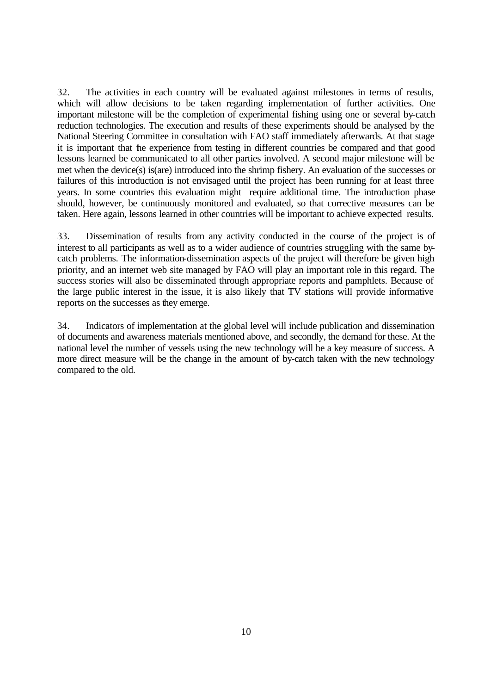32. The activities in each country will be evaluated against milestones in terms of results, which will allow decisions to be taken regarding implementation of further activities. One important milestone will be the completion of experimental fishing using one or several by-catch reduction technologies. The execution and results of these experiments should be analysed by the National Steering Committee in consultation with FAO staff immediately afterwards. At that stage it is important that the experience from testing in different countries be compared and that good lessons learned be communicated to all other parties involved. A second major milestone will be met when the device(s) is(are) introduced into the shrimp fishery. An evaluation of the successes or failures of this introduction is not envisaged until the project has been running for at least three years. In some countries this evaluation might require additional time. The introduction phase should, however, be continuously monitored and evaluated, so that corrective measures can be taken. Here again, lessons learned in other countries will be important to achieve expected results.

33. Dissemination of results from any activity conducted in the course of the project is of interest to all participants as well as to a wider audience of countries struggling with the same bycatch problems. The information-dissemination aspects of the project will therefore be given high priority, and an internet web site managed by FAO will play an important role in this regard. The success stories will also be disseminated through appropriate reports and pamphlets. Because of the large public interest in the issue, it is also likely that TV stations will provide informative reports on the successes as they emerge.

34. Indicators of implementation at the global level will include publication and dissemination of documents and awareness materials mentioned above, and secondly, the demand for these. At the national level the number of vessels using the new technology will be a key measure of success. A more direct measure will be the change in the amount of by-catch taken with the new technology compared to the old.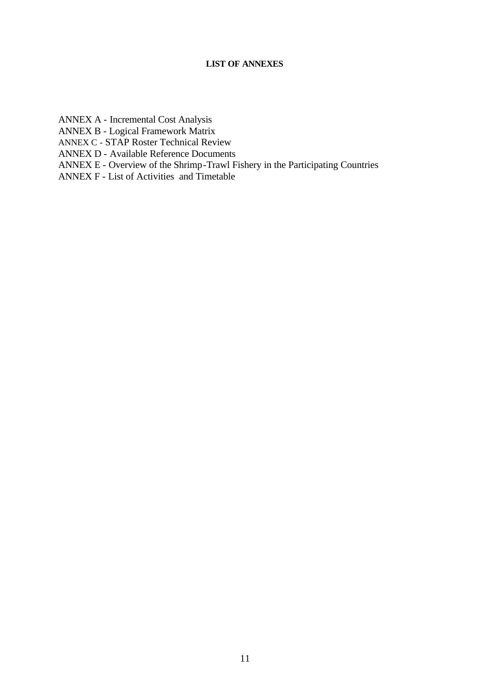## **LIST OF ANNEXES**

ANNEX A - Incremental Cost Analysis

ANNEX B - Logical Framework Matrix

ANNEX C - STAP Roster Technical Review

ANNEX D - Available Reference Documents

ANNEX E - Overview of the Shrimp-Trawl Fishery in the Participating Countries

ANNEX F - List of Activities and Timetable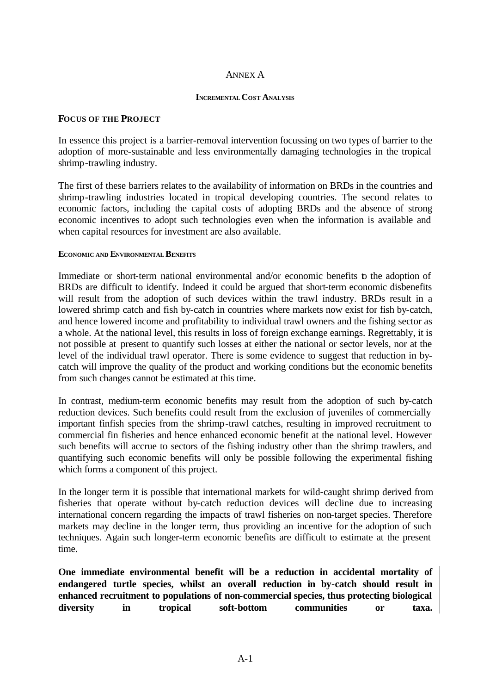#### ANNEX A

#### **INCREMENTAL COST ANALYSIS**

#### **FOCUS OF THE PROJECT**

In essence this project is a barrier-removal intervention focussing on two types of barrier to the adoption of more-sustainable and less environmentally damaging technologies in the tropical shrimp-trawling industry.

The first of these barriers relates to the availability of information on BRDs in the countries and shrimp-trawling industries located in tropical developing countries. The second relates to economic factors, including the capital costs of adopting BRDs and the absence of strong economic incentives to adopt such technologies even when the information is available and when capital resources for investment are also available.

#### **ECONOMIC AND ENVIRONMENTAL BENEFITS**

Immediate or short-term national environmental and/or economic benefits to the adoption of BRDs are difficult to identify. Indeed it could be argued that short-term economic disbenefits will result from the adoption of such devices within the trawl industry. BRDs result in a lowered shrimp catch and fish by-catch in countries where markets now exist for fish by-catch, and hence lowered income and profitability to individual trawl owners and the fishing sector as a whole. At the national level, this results in loss of foreign exchange earnings. Regrettably, it is not possible at present to quantify such losses at either the national or sector levels, nor at the level of the individual trawl operator. There is some evidence to suggest that reduction in bycatch will improve the quality of the product and working conditions but the economic benefits from such changes cannot be estimated at this time.

In contrast, medium-term economic benefits may result from the adoption of such by-catch reduction devices. Such benefits could result from the exclusion of juveniles of commercially important finfish species from the shrimp-trawl catches, resulting in improved recruitment to commercial fin fisheries and hence enhanced economic benefit at the national level. However such benefits will accrue to sectors of the fishing industry other than the shrimp trawlers, and quantifying such economic benefits will only be possible following the experimental fishing which forms a component of this project.

In the longer term it is possible that international markets for wild-caught shrimp derived from fisheries that operate without by-catch reduction devices will decline due to increasing international concern regarding the impacts of trawl fisheries on non-target species. Therefore markets may decline in the longer term, thus providing an incentive for the adoption of such techniques. Again such longer-term economic benefits are difficult to estimate at the present time.

**One immediate environmental benefit will be a reduction in accidental mortality of endangered turtle species, whilst an overall reduction in by-catch should result in enhanced recruitment to populations of non-commercial species, thus protecting biological diversity in tropical soft-bottom communities or taxa.**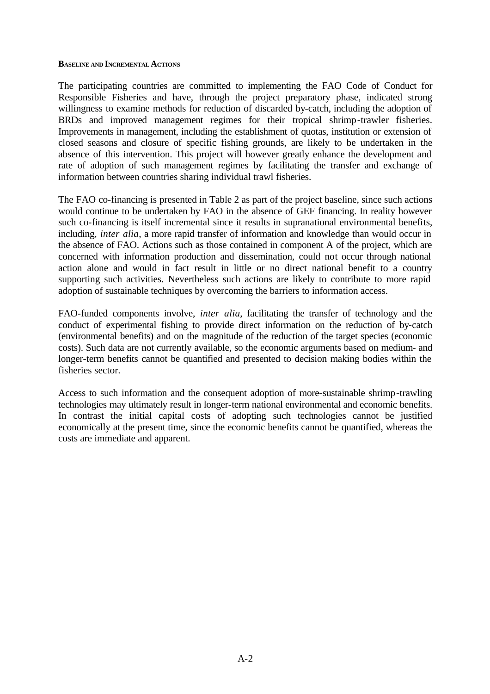#### **BASELINE AND INCREMENTAL ACTIONS**

The participating countries are committed to implementing the FAO Code of Conduct for Responsible Fisheries and have, through the project preparatory phase, indicated strong willingness to examine methods for reduction of discarded by-catch, including the adoption of BRDs and improved management regimes for their tropical shrimp-trawler fisheries. Improvements in management, including the establishment of quotas, institution or extension of closed seasons and closure of specific fishing grounds, are likely to be undertaken in the absence of this intervention. This project will however greatly enhance the development and rate of adoption of such management regimes by facilitating the transfer and exchange of information between countries sharing individual trawl fisheries.

The FAO co-financing is presented in Table 2 as part of the project baseline, since such actions would continue to be undertaken by FAO in the absence of GEF financing. In reality however such co-financing is itself incremental since it results in supranational environmental benefits, including, *inter alia*, a more rapid transfer of information and knowledge than would occur in the absence of FAO. Actions such as those contained in component A of the project, which are concerned with information production and dissemination, could not occur through national action alone and would in fact result in little or no direct national benefit to a country supporting such activities. Nevertheless such actions are likely to contribute to more rapid adoption of sustainable techniques by overcoming the barriers to information access.

FAO-funded components involve, *inter alia*, facilitating the transfer of technology and the conduct of experimental fishing to provide direct information on the reduction of by-catch (environmental benefits) and on the magnitude of the reduction of the target species (economic costs). Such data are not currently available, so the economic arguments based on medium- and longer-term benefits cannot be quantified and presented to decision making bodies within the fisheries sector.

Access to such information and the consequent adoption of more-sustainable shrimp-trawling technologies may ultimately result in longer-term national environmental and economic benefits. In contrast the initial capital costs of adopting such technologies cannot be justified economically at the present time, since the economic benefits cannot be quantified, whereas the costs are immediate and apparent.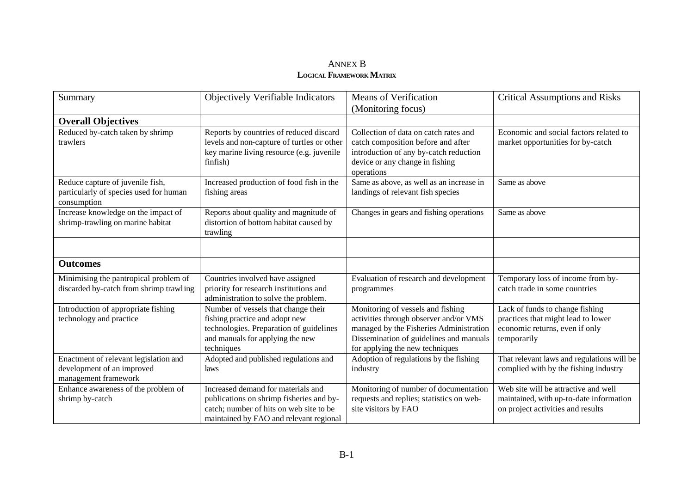## ANNEX B **LOGICAL FRAMEWORK MATRIX**

| Summary                                                                                     | Objectively Verifiable Indicators                                                                                                                                    | <b>Means of Verification</b><br>(Monitoring focus)                                                                                                                                                   | <b>Critical Assumptions and Risks</b>                                                                                  |
|---------------------------------------------------------------------------------------------|----------------------------------------------------------------------------------------------------------------------------------------------------------------------|------------------------------------------------------------------------------------------------------------------------------------------------------------------------------------------------------|------------------------------------------------------------------------------------------------------------------------|
| <b>Overall Objectives</b>                                                                   |                                                                                                                                                                      |                                                                                                                                                                                                      |                                                                                                                        |
| Reduced by-catch taken by shrimp<br>trawlers                                                | Reports by countries of reduced discard<br>levels and non-capture of turtles or other<br>key marine living resource (e.g. juvenile<br>finfish)                       | Collection of data on catch rates and<br>catch composition before and after<br>introduction of any by-catch reduction<br>device or any change in fishing<br>operations                               | Economic and social factors related to<br>market opportunities for by-catch                                            |
| Reduce capture of juvenile fish,<br>particularly of species used for human<br>consumption   | Increased production of food fish in the<br>fishing areas                                                                                                            | Same as above, as well as an increase in<br>landings of relevant fish species                                                                                                                        | Same as above                                                                                                          |
| Increase knowledge on the impact of<br>shrimp-trawling on marine habitat                    | Reports about quality and magnitude of<br>distortion of bottom habitat caused by<br>trawling                                                                         | Changes in gears and fishing operations                                                                                                                                                              | Same as above                                                                                                          |
|                                                                                             |                                                                                                                                                                      |                                                                                                                                                                                                      |                                                                                                                        |
| <b>Outcomes</b>                                                                             |                                                                                                                                                                      |                                                                                                                                                                                                      |                                                                                                                        |
| Minimising the pantropical problem of<br>discarded by-catch from shrimp trawling            | Countries involved have assigned<br>priority for research institutions and<br>administration to solve the problem.                                                   | Evaluation of research and development<br>programmes                                                                                                                                                 | Temporary loss of income from by-<br>catch trade in some countries                                                     |
| Introduction of appropriate fishing<br>technology and practice                              | Number of vessels that change their<br>fishing practice and adopt new<br>technologies. Preparation of guidelines<br>and manuals for applying the new<br>techniques   | Monitoring of vessels and fishing<br>activities through observer and/or VMS<br>managed by the Fisheries Administration<br>Dissemination of guidelines and manuals<br>for applying the new techniques | Lack of funds to change fishing<br>practices that might lead to lower<br>economic returns, even if only<br>temporarily |
| Enactment of relevant legislation and<br>development of an improved<br>management framework | Adopted and published regulations and<br>laws                                                                                                                        | Adoption of regulations by the fishing<br>industry                                                                                                                                                   | That relevant laws and regulations will be<br>complied with by the fishing industry                                    |
| Enhance awareness of the problem of<br>shrimp by-catch                                      | Increased demand for materials and<br>publications on shrimp fisheries and by-<br>catch; number of hits on web site to be<br>maintained by FAO and relevant regional | Monitoring of number of documentation<br>requests and replies; statistics on web-<br>site visitors by FAO                                                                                            | Web site will be attractive and well<br>maintained, with up-to-date information<br>on project activities and results   |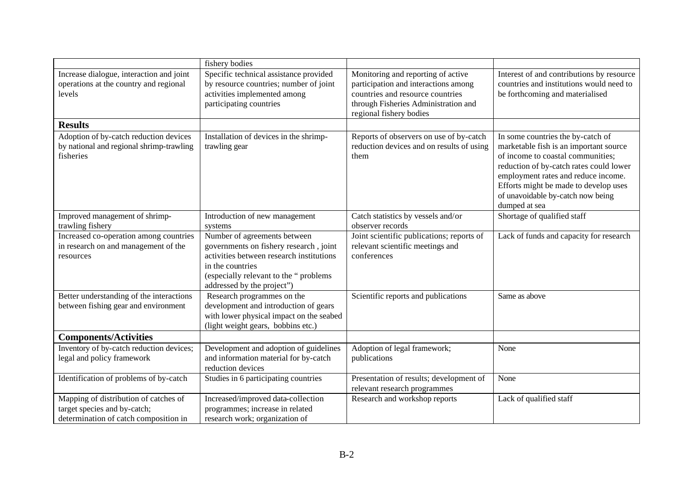|                                                                                                                | fishery bodies                                                                                                                                                                                                |                                                                                                                                                                                   |                                                                                                                                                                                                                                                                                                   |
|----------------------------------------------------------------------------------------------------------------|---------------------------------------------------------------------------------------------------------------------------------------------------------------------------------------------------------------|-----------------------------------------------------------------------------------------------------------------------------------------------------------------------------------|---------------------------------------------------------------------------------------------------------------------------------------------------------------------------------------------------------------------------------------------------------------------------------------------------|
| Increase dialogue, interaction and joint<br>operations at the country and regional<br>levels                   | Specific technical assistance provided<br>by resource countries; number of joint<br>activities implemented among<br>participating countries                                                                   | Monitoring and reporting of active<br>participation and interactions among<br>countries and resource countries<br>through Fisheries Administration and<br>regional fishery bodies | Interest of and contributions by resource<br>countries and institutions would need to<br>be forthcoming and materialised                                                                                                                                                                          |
| <b>Results</b>                                                                                                 |                                                                                                                                                                                                               |                                                                                                                                                                                   |                                                                                                                                                                                                                                                                                                   |
| Adoption of by-catch reduction devices<br>by national and regional shrimp-trawling<br>fisheries                | Installation of devices in the shrimp-<br>trawling gear                                                                                                                                                       | Reports of observers on use of by-catch<br>reduction devices and on results of using<br>them                                                                                      | In some countries the by-catch of<br>marketable fish is an important source<br>of income to coastal communities;<br>reduction of by-catch rates could lower<br>employment rates and reduce income.<br>Efforts might be made to develop uses<br>of unavoidable by-catch now being<br>dumped at sea |
| Improved management of shrimp-<br>trawling fishery                                                             | Introduction of new management<br>systems                                                                                                                                                                     | Catch statistics by vessels and/or<br>observer records                                                                                                                            | Shortage of qualified staff                                                                                                                                                                                                                                                                       |
| Increased co-operation among countries<br>in research on and management of the<br>resources                    | Number of agreements between<br>governments on fishery research, joint<br>activities between research institutions<br>in the countries<br>(especially relevant to the "problems<br>addressed by the project") | Joint scientific publications; reports of<br>relevant scientific meetings and<br>conferences                                                                                      | Lack of funds and capacity for research                                                                                                                                                                                                                                                           |
| Better understanding of the interactions<br>between fishing gear and environment                               | Research programmes on the<br>development and introduction of gears<br>with lower physical impact on the seabed<br>(light weight gears, bobbins etc.)                                                         | Scientific reports and publications                                                                                                                                               | Same as above                                                                                                                                                                                                                                                                                     |
| <b>Components/Activities</b>                                                                                   |                                                                                                                                                                                                               |                                                                                                                                                                                   |                                                                                                                                                                                                                                                                                                   |
| Inventory of by-catch reduction devices;<br>legal and policy framework                                         | Development and adoption of guidelines<br>and information material for by-catch<br>reduction devices                                                                                                          | Adoption of legal framework;<br>publications                                                                                                                                      | None                                                                                                                                                                                                                                                                                              |
| Identification of problems of by-catch                                                                         | Studies in 6 participating countries                                                                                                                                                                          | Presentation of results; development of<br>relevant research programmes                                                                                                           | None                                                                                                                                                                                                                                                                                              |
| Mapping of distribution of catches of<br>target species and by-catch;<br>determination of catch composition in | Increased/improved data-collection<br>programmes; increase in related<br>research work; organization of                                                                                                       | Research and workshop reports                                                                                                                                                     | Lack of qualified staff                                                                                                                                                                                                                                                                           |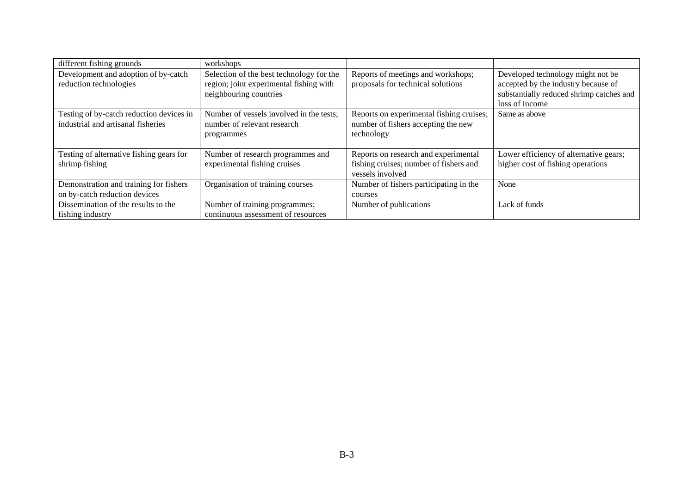| different fishing grounds                | workshops                                |                                          |                                          |
|------------------------------------------|------------------------------------------|------------------------------------------|------------------------------------------|
| Development and adoption of by-catch     | Selection of the best technology for the | Reports of meetings and workshops;       | Developed technology might not be        |
| reduction technologies                   | region; joint experimental fishing with  | proposals for technical solutions        | accepted by the industry because of      |
|                                          | neighbouring countries                   |                                          | substantially reduced shrimp catches and |
|                                          |                                          |                                          | loss of income                           |
| Testing of by-catch reduction devices in | Number of vessels involved in the tests; | Reports on experimental fishing cruises; | Same as above                            |
| industrial and artisanal fisheries       | number of relevant research              | number of fishers accepting the new      |                                          |
|                                          | programmes                               | technology                               |                                          |
|                                          |                                          |                                          |                                          |
| Testing of alternative fishing gears for | Number of research programmes and        | Reports on research and experimental     | Lower efficiency of alternative gears;   |
| shrimp fishing                           | experimental fishing cruises             | fishing cruises; number of fishers and   | higher cost of fishing operations        |
|                                          |                                          | vessels involved                         |                                          |
| Demonstration and training for fishers   | Organisation of training courses         | Number of fishers participating in the   | None                                     |
| on by-catch reduction devices            |                                          | courses                                  |                                          |
| Dissemination of the results to the      | Number of training programmes;           | Number of publications                   | Lack of funds                            |
| fishing industry                         | continuous assessment of resources       |                                          |                                          |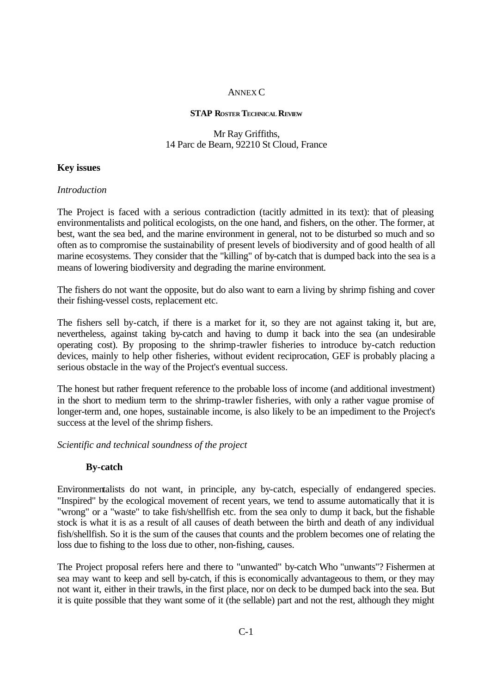## ANNEX C

#### **STAP ROSTER TECHNICAL REVIEW**

## Mr Ray Griffiths, 14 Parc de Bearn, 92210 St Cloud, France

## **Key issues**

### *Introduction*

The Project is faced with a serious contradiction (tacitly admitted in its text): that of pleasing environmentalists and political ecologists, on the one hand, and fishers, on the other. The former, at best, want the sea bed, and the marine environment in general, not to be disturbed so much and so often as to compromise the sustainability of present levels of biodiversity and of good health of all marine ecosystems. They consider that the "killing" of by-catch that is dumped back into the sea is a means of lowering biodiversity and degrading the marine environment.

The fishers do not want the opposite, but do also want to earn a living by shrimp fishing and cover their fishing-vessel costs, replacement etc.

The fishers sell by-catch, if there is a market for it, so they are not against taking it, but are, nevertheless, against taking by-catch and having to dump it back into the sea (an undesirable operating cost). By proposing to the shrimp-trawler fisheries to introduce by-catch reduction devices, mainly to help other fisheries, without evident reciprocation, GEF is probably placing a serious obstacle in the way of the Project's eventual success.

The honest but rather frequent reference to the probable loss of income (and additional investment) in the short to medium term to the shrimp-trawler fisheries, with only a rather vague promise of longer-term and, one hopes, sustainable income, is also likely to be an impediment to the Project's success at the level of the shrimp fishers.

*Scientific and technical soundness of the project* 

## **By-catch**

Environmentalists do not want, in principle, any by-catch, especially of endangered species. "Inspired" by the ecological movement of recent years, we tend to assume automatically that it is "wrong" or a "waste" to take fish/shellfish etc. from the sea only to dump it back, but the fishable stock is what it is as a result of all causes of death between the birth and death of any individual fish/shellfish. So it is the sum of the causes that counts and the problem becomes one of relating the loss due to fishing to the loss due to other, non-fishing, causes.

The Project proposal refers here and there to "unwanted" by-catch Who "unwants"? Fishermen at sea may want to keep and sell by-catch, if this is economically advantageous to them, or they may not want it, either in their trawls, in the first place, nor on deck to be dumped back into the sea. But it is quite possible that they want some of it (the sellable) part and not the rest, although they might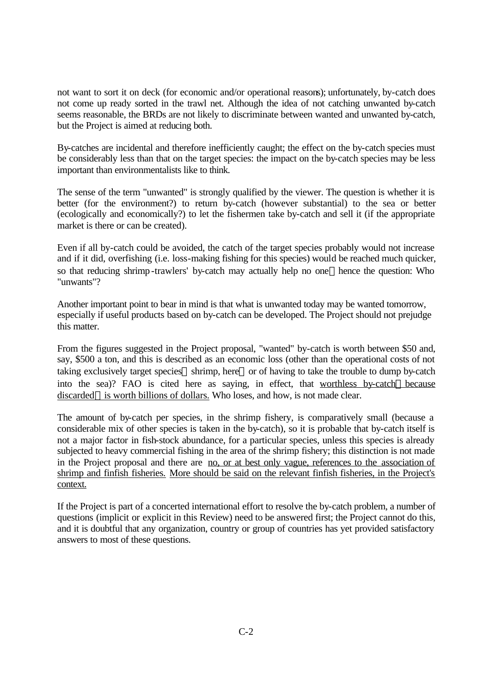not want to sort it on deck (for economic and/or operational reasons); unfortunately, by-catch does not come up ready sorted in the trawl net. Although the idea of not catching unwanted by-catch seems reasonable, the BRDs are not likely to discriminate between wanted and unwanted by-catch, but the Project is aimed at reducing both.

By-catches are incidental and therefore inefficiently caught; the effect on the by-catch species must be considerably less than that on the target species: the impact on the by-catch species may be less important than environmentalists like to think.

The sense of the term "unwanted" is strongly qualified by the viewer. The question is whether it is better (for the environment?) to return by-catch (however substantial) to the sea or better (ecologically and economically?) to let the fishermen take by-catch and sell it (if the appropriate market is there or can be created).

Even if all by-catch could be avoided, the catch of the target species probably would not increase and if it did, overfishing (i.e. loss-making fishing for this species) would be reached much quicker, so that reducing shrimp-trawlers' by-catch may actually help no one—hence the question: Who "unwants"?

Another important point to bear in mind is that what is unwanted today may be wanted tomorrow, especially if useful products based on by-catch can be developed. The Project should not prejudge this matter.

From the figures suggested in the Project proposal, "wanted" by-catch is worth between \$50 and, say, \$500 a ton, and this is described as an economic loss (other than the operational costs of not taking exclusively target species—shrimp, here—or of having to take the trouble to dump by-catch into the sea)? FAO is cited here as saying, in effect, that worthless by-catch—because discarded—is worth billions of dollars. Who loses, and how, is not made clear.

The amount of by-catch per species, in the shrimp fishery, is comparatively small (because a considerable mix of other species is taken in the by-catch), so it is probable that by-catch itself is not a major factor in fish-stock abundance, for a particular species, unless this species is already subjected to heavy commercial fishing in the area of the shrimp fishery; this distinction is not made in the Project proposal and there are no, or at best only vague, references to the association of shrimp and finfish fisheries. More should be said on the relevant finfish fisheries, in the Project's context.

If the Project is part of a concerted international effort to resolve the by-catch problem, a number of questions (implicit or explicit in this Review) need to be answered first; the Project cannot do this, and it is doubtful that any organization, country or group of countries has yet provided satisfactory answers to most of these questions.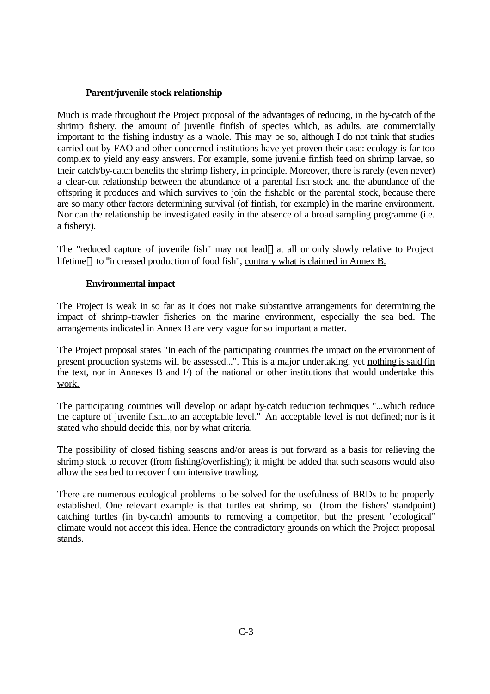## **Parent/juvenile stock relationship**

Much is made throughout the Project proposal of the advantages of reducing, in the by-catch of the shrimp fishery, the amount of juvenile finfish of species which, as adults, are commercially important to the fishing industry as a whole. This may be so, although I do not think that studies carried out by FAO and other concerned institutions have yet proven their case: ecology is far too complex to yield any easy answers. For example, some juvenile finfish feed on shrimp larvae, so their catch/by-catch benefits the shrimp fishery, in principle. Moreover, there is rarely (even never) a clear-cut relationship between the abundance of a parental fish stock and the abundance of the offspring it produces and which survives to join the fishable or the parental stock, because there are so many other factors determining survival (of finfish, for example) in the marine environment. Nor can the relationship be investigated easily in the absence of a broad sampling programme (i.e. a fishery).

The "reduced capture of juvenile fish" may not lead—at all or only slowly relative to Project lifetime—to "increased production of food fish", contrary what is claimed in Annex B.

## **Environmental impact**

The Project is weak in so far as it does not make substantive arrangements for determining the impact of shrimp-trawler fisheries on the marine environment, especially the sea bed. The arrangements indicated in Annex B are very vague for so important a matter.

The Project proposal states "In each of the participating countries the impact on the environment of present production systems will be assessed...". This is a major undertaking, yet nothing is said (in the text, nor in Annexes B and F) of the national or other institutions that would undertake this work.

The participating countries will develop or adapt by-catch reduction techniques "...which reduce the capture of juvenile fish...to an acceptable level." An acceptable level is not defined; nor is it stated who should decide this, nor by what criteria.

The possibility of closed fishing seasons and/or areas is put forward as a basis for relieving the shrimp stock to recover (from fishing/overfishing); it might be added that such seasons would also allow the sea bed to recover from intensive trawling.

There are numerous ecological problems to be solved for the usefulness of BRDs to be properly established. One relevant example is that turtles eat shrimp, so (from the fishers' standpoint) catching turtles (in by-catch) amounts to removing a competitor, but the present "ecological" climate would not accept this idea. Hence the contradictory grounds on which the Project proposal stands.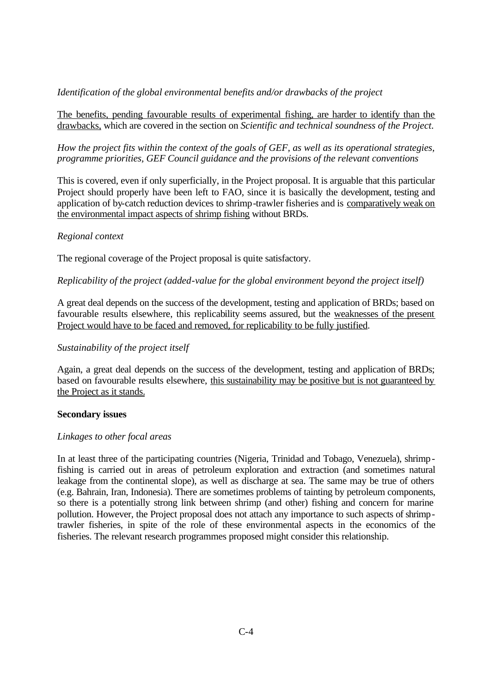## *Identification of the global environmental benefits and/or drawbacks of the project*

The benefits, pending favourable results of experimental fishing, are harder to identify than the drawbacks, which are covered in the section on *Scientific and technical soundness of the Project*.

*How the project fits within the context of the goals of GEF, as well as its operational strategies, programme priorities, GEF Council guidance and the provisions of the relevant conventions*

This is covered, even if only superficially, in the Project proposal. It is arguable that this particular Project should properly have been left to FAO, since it is basically the development, testing and application of by-catch reduction devices to shrimp-trawler fisheries and is comparatively weak on the environmental impact aspects of shrimp fishing without BRDs.

#### *Regional context*

The regional coverage of the Project proposal is quite satisfactory.

### *Replicability of the project (added-value for the global environment beyond the project itself)*

A great deal depends on the success of the development, testing and application of BRDs; based on favourable results elsewhere, this replicability seems assured, but the weaknesses of the present Project would have to be faced and removed, for replicability to be fully justified.

#### *Sustainability of the project itself*

Again, a great deal depends on the success of the development, testing and application of BRDs; based on favourable results elsewhere, this sustainability may be positive but is not guaranteed by the Project as it stands.

#### **Secondary issues**

### *Linkages to other focal areas*

In at least three of the participating countries (Nigeria, Trinidad and Tobago, Venezuela), shrimpfishing is carried out in areas of petroleum exploration and extraction (and sometimes natural leakage from the continental slope), as well as discharge at sea. The same may be true of others (e.g. Bahrain, Iran, Indonesia). There are sometimes problems of tainting by petroleum components, so there is a potentially strong link between shrimp (and other) fishing and concern for marine pollution. However, the Project proposal does not attach any importance to such aspects of shrimptrawler fisheries, in spite of the role of these environmental aspects in the economics of the fisheries. The relevant research programmes proposed might consider this relationship.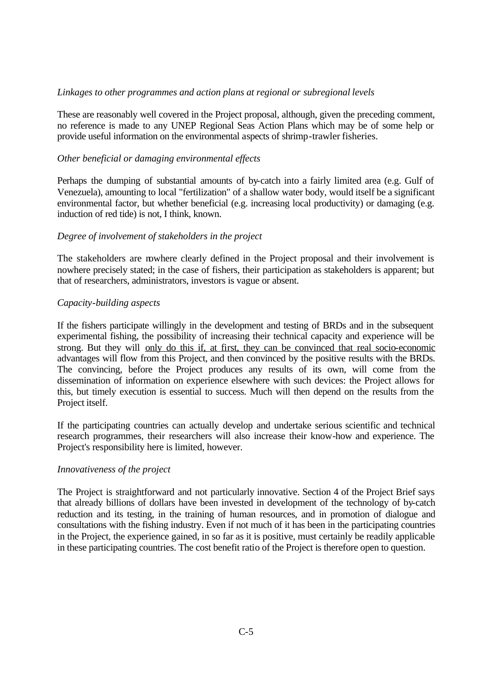## *Linkages to other programmes and action plans at regional or subregional levels*

These are reasonably well covered in the Project proposal, although, given the preceding comment, no reference is made to any UNEP Regional Seas Action Plans which may be of some help or provide useful information on the environmental aspects of shrimp-trawler fisheries.

## *Other beneficial or damaging environmental effects*

Perhaps the dumping of substantial amounts of by-catch into a fairly limited area (e.g. Gulf of Venezuela), amounting to local "fertilization" of a shallow water body, would itself be a significant environmental factor, but whether beneficial (e.g. increasing local productivity) or damaging (e.g. induction of red tide) is not, I think, known.

### *Degree of involvement of stakeholders in the project*

The stakeholders are nowhere clearly defined in the Project proposal and their involvement is nowhere precisely stated; in the case of fishers, their participation as stakeholders is apparent; but that of researchers, administrators, investors is vague or absent.

## *Capacity-building aspects*

If the fishers participate willingly in the development and testing of BRDs and in the subsequent experimental fishing, the possibility of increasing their technical capacity and experience will be strong. But they will only do this if, at first, they can be convinced that real socio-economic advantages will flow from this Project, and then convinced by the positive results with the BRDs. The convincing, before the Project produces any results of its own, will come from the dissemination of information on experience elsewhere with such devices: the Project allows for this, but timely execution is essential to success. Much will then depend on the results from the Project itself.

If the participating countries can actually develop and undertake serious scientific and technical research programmes, their researchers will also increase their know-how and experience. The Project's responsibility here is limited, however.

### *Innovativeness of the project*

The Project is straightforward and not particularly innovative. Section 4 of the Project Brief says that already billions of dollars have been invested in development of the technology of by-catch reduction and its testing, in the training of human resources, and in promotion of dialogue and consultations with the fishing industry. Even if not much of it has been in the participating countries in the Project, the experience gained, in so far as it is positive, must certainly be readily applicable in these participating countries. The cost benefit ratio of the Project is therefore open to question.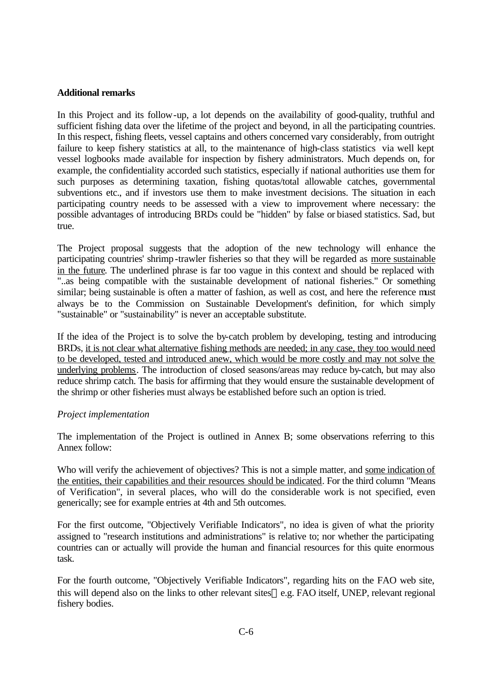#### **Additional remarks**

In this Project and its follow-up, a lot depends on the availability of good-quality, truthful and sufficient fishing data over the lifetime of the project and beyond, in all the participating countries. In this respect, fishing fleets, vessel captains and others concerned vary considerably, from outright failure to keep fishery statistics at all, to the maintenance of high-class statistics via well kept vessel logbooks made available for inspection by fishery administrators. Much depends on, for example, the confidentiality accorded such statistics, especially if national authorities use them for such purposes as determining taxation, fishing quotas/total allowable catches, governmental subventions etc., and if investors use them to make investment decisions. The situation in each participating country needs to be assessed with a view to improvement where necessary: the possible advantages of introducing BRDs could be "hidden" by false or biased statistics. Sad, but true.

The Project proposal suggests that the adoption of the new technology will enhance the participating countries' shrimp -trawler fisheries so that they will be regarded as more sustainable in the future. The underlined phrase is far too vague in this context and should be replaced with "..as being compatible with the sustainable development of national fisheries." Or something similar; being sustainable is often a matter of fashion, as well as cost, and here the reference must always be to the Commission on Sustainable Development's definition, for which simply "sustainable" or "sustainability" is never an acceptable substitute.

If the idea of the Project is to solve the by-catch problem by developing, testing and introducing BRDs, it is not clear what alternative fishing methods are needed; in any case, they too would need to be developed, tested and introduced anew, which would be more costly and may not solve the underlying problems. The introduction of closed seasons/areas may reduce by-catch, but may also reduce shrimp catch. The basis for affirming that they would ensure the sustainable development of the shrimp or other fisheries must always be established before such an option is tried.

#### *Project implementation*

The implementation of the Project is outlined in Annex B; some observations referring to this Annex follow:

Who will verify the achievement of objectives? This is not a simple matter, and some indication of the entities, their capabilities and their resources should be indicated. For the third column "Means of Verification", in several places, who will do the considerable work is not specified, even generically; see for example entries at 4th and 5th outcomes.

For the first outcome, "Objectively Verifiable Indicators", no idea is given of what the priority assigned to "research institutions and administrations" is relative to; nor whether the participating countries can or actually will provide the human and financial resources for this quite enormous task.

For the fourth outcome, "Objectively Verifiable Indicators", regarding hits on the FAO web site, this will depend also on the links to other relevant sites—e.g. FAO itself, UNEP, relevant regional fishery bodies.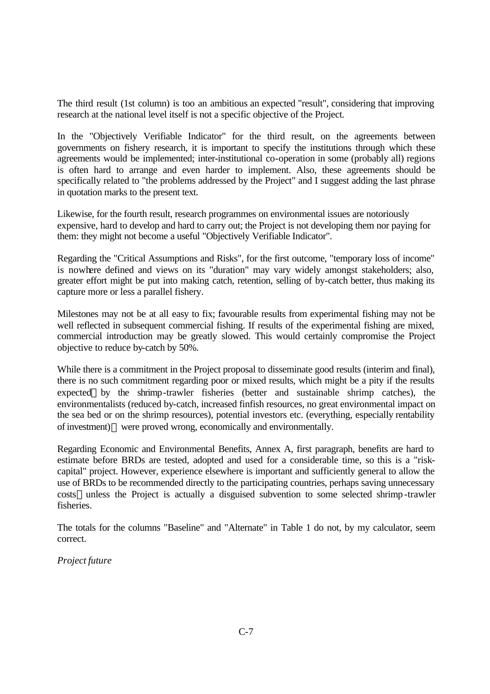The third result (1st column) is too an ambitious an expected "result", considering that improving research at the national level itself is not a specific objective of the Project.

In the "Objectively Verifiable Indicator" for the third result, on the agreements between governments on fishery research, it is important to specify the institutions through which these agreements would be implemented; inter-institutional co-operation in some (probably all) regions is often hard to arrange and even harder to implement. Also, these agreements should be specifically related to "the problems addressed by the Project" and I suggest adding the last phrase in quotation marks to the present text.

Likewise, for the fourth result, research programmes on environmental issues are notoriously expensive, hard to develop and hard to carry out; the Project is not developing them nor paying for them: they might not become a useful "Objectively Verifiable Indicator".

Regarding the "Critical Assumptions and Risks", for the first outcome, "temporary loss of income" is nowhere defined and views on its "duration" may vary widely amongst stakeholders; also, greater effort might be put into making catch, retention, selling of by-catch better, thus making its capture more or less a parallel fishery.

Milestones may not be at all easy to fix; favourable results from experimental fishing may not be well reflected in subsequent commercial fishing. If results of the experimental fishing are mixed, commercial introduction may be greatly slowed. This would certainly compromise the Project objective to reduce by-catch by 50%.

While there is a commitment in the Project proposal to disseminate good results (interim and final), there is no such commitment regarding poor or mixed results, which might be a pity if the results expected—by the shrimp-trawler fisheries (better and sustainable shrimp catches), the environmentalists (reduced by-catch, increased finfish resources, no great environmental impact on the sea bed or on the shrimp resources), potential investors etc. (everything, especially rentability of investment)—were proved wrong, economically and environmentally.

Regarding Economic and Environmental Benefits, Annex A, first paragraph, benefits are hard to estimate before BRDs are tested, adopted and used for a considerable time, so this is a "riskcapital" project. However, experience elsewhere is important and sufficiently general to allow the use of BRDs to be recommended directly to the participating countries, perhaps saving unnecessary costs—unless the Project is actually a disguised subvention to some selected shrimp-trawler fisheries.

The totals for the columns "Baseline" and "Alternate" in Table 1 do not, by my calculator, seem correct.

*Project future*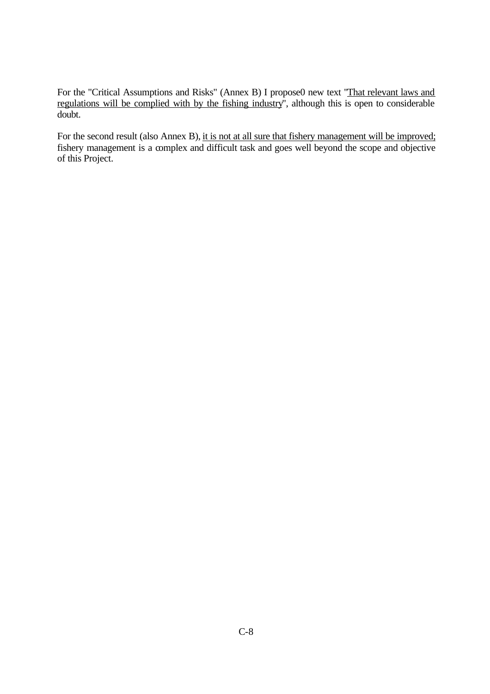For the "Critical Assumptions and Risks" (Annex B) I propose0 new text "That relevant laws and regulations will be complied with by the fishing industry", although this is open to considerable doubt.

For the second result (also Annex B), it is not at all sure that fishery management will be improved; fishery management is a complex and difficult task and goes well beyond the scope and objective of this Project.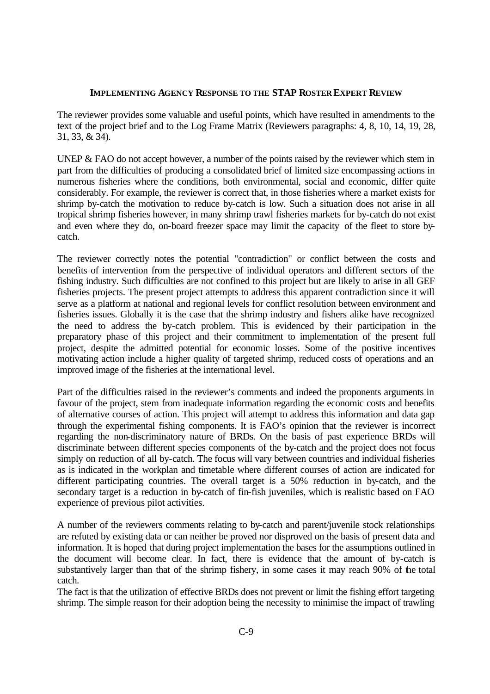#### **IMPLEMENTING AGENCY RESPONSE TO THE STAP ROSTER EXPERT REVIEW**

The reviewer provides some valuable and useful points, which have resulted in amendments to the text of the project brief and to the Log Frame Matrix (Reviewers paragraphs: 4, 8, 10, 14, 19, 28, 31, 33, & 34).

UNEP & FAO do not accept however, a number of the points raised by the reviewer which stem in part from the difficulties of producing a consolidated brief of limited size encompassing actions in numerous fisheries where the conditions, both environmental, social and economic, differ quite considerably. For example, the reviewer is correct that, in those fisheries where a market exists for shrimp by-catch the motivation to reduce by-catch is low. Such a situation does not arise in all tropical shrimp fisheries however, in many shrimp trawl fisheries markets for by-catch do not exist and even where they do, on-board freezer space may limit the capacity of the fleet to store bycatch.

The reviewer correctly notes the potential "contradiction" or conflict between the costs and benefits of intervention from the perspective of individual operators and different sectors of the fishing industry. Such difficulties are not confined to this project but are likely to arise in all GEF fisheries projects. The present project attempts to address this apparent contradiction since it will serve as a platform at national and regional levels for conflict resolution between environment and fisheries issues. Globally it is the case that the shrimp industry and fishers alike have recognized the need to address the by-catch problem. This is evidenced by their participation in the preparatory phase of this project and their commitment to implementation of the present full project, despite the admitted potential for economic losses. Some of the positive incentives motivating action include a higher quality of targeted shrimp, reduced costs of operations and an improved image of the fisheries at the international level.

Part of the difficulties raised in the reviewer's comments and indeed the proponents arguments in favour of the project, stem from inadequate information regarding the economic costs and benefits of alternative courses of action. This project will attempt to address this information and data gap through the experimental fishing components. It is FAO's opinion that the reviewer is incorrect regarding the non-discriminatory nature of BRDs. On the basis of past experience BRDs will discriminate between different species components of the by-catch and the project does not focus simply on reduction of all by-catch. The focus will vary between countries and individual fisheries as is indicated in the workplan and timetable where different courses of action are indicated for different participating countries. The overall target is a 50% reduction in by-catch, and the secondary target is a reduction in by-catch of fin-fish juveniles, which is realistic based on FAO experience of previous pilot activities.

A number of the reviewers comments relating to by-catch and parent/juvenile stock relationships are refuted by existing data or can neither be proved nor disproved on the basis of present data and information. It is hoped that during project implementation the bases for the assumptions outlined in the document will become clear. In fact, there is evidence that the amount of by-catch is substantively larger than that of the shrimp fishery, in some cases it may reach 90% of the total catch.

The fact is that the utilization of effective BRDs does not prevent or limit the fishing effort targeting shrimp. The simple reason for their adoption being the necessity to minimise the impact of trawling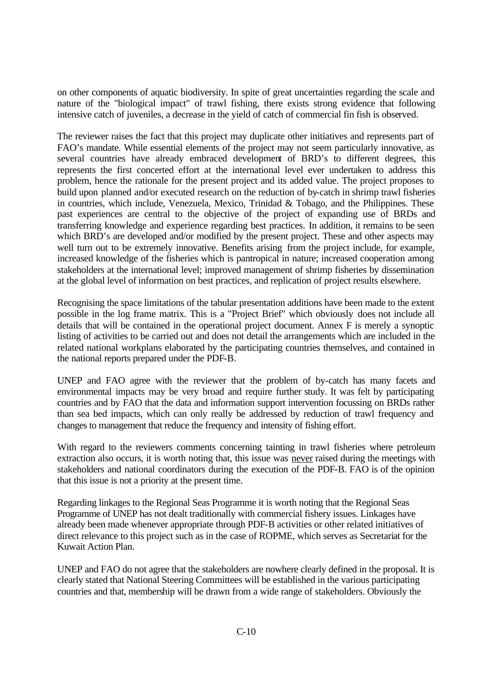on other components of aquatic biodiversity. In spite of great uncertainties regarding the scale and nature of the "biological impact" of trawl fishing, there exists strong evidence that following intensive catch of juveniles, a decrease in the yield of catch of commercial fin fish is observed.

The reviewer raises the fact that this project may duplicate other initiatives and represents part of FAO's mandate. While essential elements of the project may not seem particularly innovative, as several countries have already embraced development of BRD's to different degrees, this represents the first concerted effort at the international level ever undertaken to address this problem, hence the rationale for the present project and its added value. The project proposes to build upon planned and/or executed research on the reduction of by-catch in shrimp trawl fisheries in countries, which include, Venezuela, Mexico, Trinidad & Tobago, and the Philippines. These past experiences are central to the objective of the project of expanding use of BRDs and transferring knowledge and experience regarding best practices. In addition, it remains to be seen which BRD's are developed and/or modified by the present project. These and other aspects may well turn out to be extremely innovative. Benefits arising from the project include, for example, increased knowledge of the fisheries which is pantropical in nature; increased cooperation among stakeholders at the international level; improved management of shrimp fisheries by dissemination at the global level of information on best practices, and replication of project results elsewhere.

Recognising the space limitations of the tabular presentation additions have been made to the extent possible in the log frame matrix. This is a "Project Brief" which obviously does not include all details that will be contained in the operational project document. Annex F is merely a synoptic listing of activities to be carried out and does not detail the arrangements which are included in the related national workplans elaborated by the participating countries themselves, and contained in the national reports prepared under the PDF-B.

UNEP and FAO agree with the reviewer that the problem of by-catch has many facets and environmental impacts may be very broad and require further study. It was felt by participating countries and by FAO that the data and information support intervention focussing on BRDs rather than sea bed impacts, which can only really be addressed by reduction of trawl frequency and changes to management that reduce the frequency and intensity of fishing effort.

With regard to the reviewers comments concerning tainting in trawl fisheries where petroleum extraction also occurs, it is worth noting that, this issue was never raised during the meetings with stakeholders and national coordinators during the execution of the PDF-B. FAO is of the opinion that this issue is not a priority at the present time.

Regarding linkages to the Regional Seas Programme it is worth noting that the Regional Seas Programme of UNEP has not dealt traditionally with commercial fishery issues. Linkages have already been made whenever appropriate through PDF-B activities or other related initiatives of direct relevance to this project such as in the case of ROPME, which serves as Secretariat for the Kuwait Action Plan.

UNEP and FAO do not agree that the stakeholders are nowhere clearly defined in the proposal. It is clearly stated that National Steering Committees will be established in the various participating countries and that, membership will be drawn from a wide range of stakeholders. Obviously the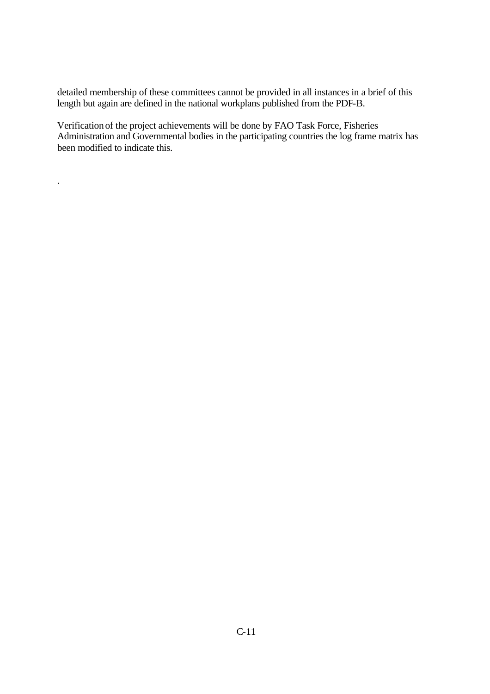detailed membership of these committees cannot be provided in all instances in a brief of this length but again are defined in the national workplans published from the PDF-B.

Verification of the project achievements will be done by FAO Task Force, Fisheries Administration and Governmental bodies in the participating countries the log frame matrix has been modified to indicate this.

.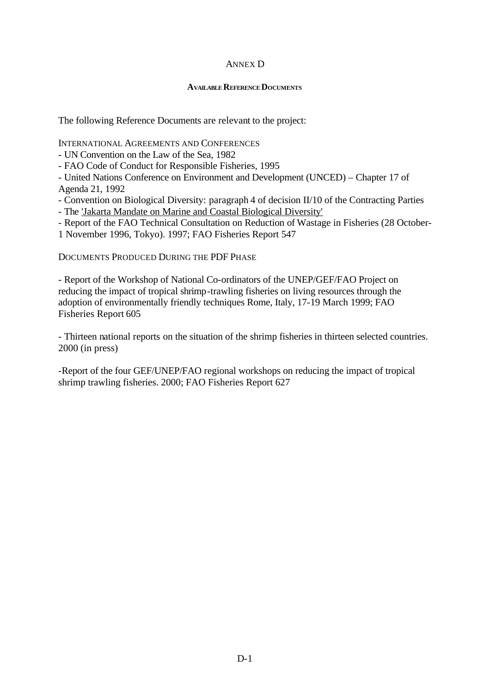## ANNEX D

#### **AVAILABLE REFERENCE DOCUMENTS**

The following Reference Documents are relevant to the project:

INTERNATIONAL AGREEMENTS AND CONFERENCES

- UN Convention on the Law of the Sea, 1982

- FAO Code of Conduct for Responsible Fisheries, 1995

- United Nations Conference on Environment and Development (UNCED) – Chapter 17 of Agenda 21, 1992

- Convention on Biological Diversity: paragraph 4 of decision II/10 of the Contracting Parties

- The 'Jakarta Mandate on Marine and Coastal Biological Diversity'

- Report of the FAO Technical Consultation on Reduction of Wastage in Fisheries (28 October-

1 November 1996, Tokyo). 1997; FAO Fisheries Report 547

DOCUMENTS PRODUCED DURING THE PDF PHASE

- Report of the Workshop of National Co-ordinators of the UNEP/GEF/FAO Project on reducing the impact of tropical shrimp-trawling fisheries on living resources through the adoption of environmentally friendly techniques Rome, Italy, 17-19 March 1999; FAO Fisheries Report 605

- Thirteen national reports on the situation of the shrimp fisheries in thirteen selected countries. 2000 (in press)

-Report of the four GEF/UNEP/FAO regional workshops on reducing the impact of tropical shrimp trawling fisheries. 2000; FAO Fisheries Report 627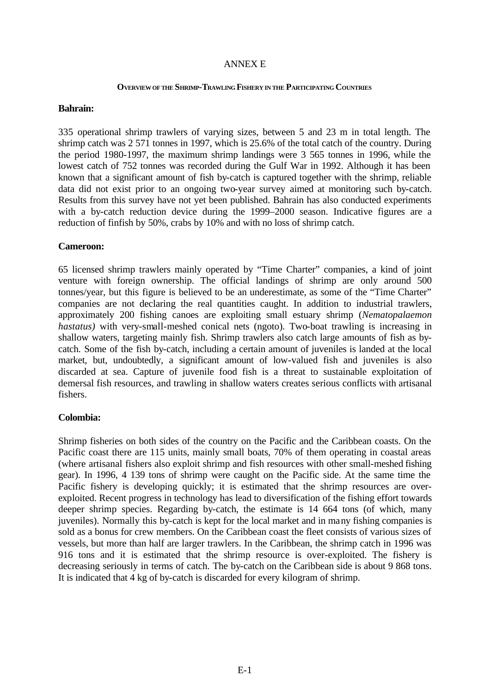### ANNEX E

#### **OVERVIEW OF THE SHRIMP-TRAWLING FISHERY IN THE PARTICIPATING COUNTRIES**

#### **Bahrain:**

335 operational shrimp trawlers of varying sizes, between 5 and 23 m in total length. The shrimp catch was 2 571 tonnes in 1997, which is 25.6% of the total catch of the country. During the period 1980-1997, the maximum shrimp landings were 3 565 tonnes in 1996, while the lowest catch of 752 tonnes was recorded during the Gulf War in 1992. Although it has been known that a significant amount of fish by-catch is captured together with the shrimp, reliable data did not exist prior to an ongoing two-year survey aimed at monitoring such by-catch. Results from this survey have not yet been published. Bahrain has also conducted experiments with a by-catch reduction device during the 1999–2000 season. Indicative figures are a reduction of finfish by 50%, crabs by 10% and with no loss of shrimp catch.

#### **Cameroon:**

65 licensed shrimp trawlers mainly operated by "Time Charter" companies, a kind of joint venture with foreign ownership. The official landings of shrimp are only around 500 tonnes/year, but this figure is believed to be an underestimate, as some of the "Time Charter" companies are not declaring the real quantities caught. In addition to industrial trawlers, approximately 200 fishing canoes are exploiting small estuary shrimp (*Nematopalaemon hastatus*) with very-small-meshed conical nets (ngoto). Two-boat trawling is increasing in shallow waters, targeting mainly fish. Shrimp trawlers also catch large amounts of fish as bycatch. Some of the fish by-catch, including a certain amount of juveniles is landed at the local market, but, undoubtedly, a significant amount of low-valued fish and juveniles is also discarded at sea. Capture of juvenile food fish is a threat to sustainable exploitation of demersal fish resources, and trawling in shallow waters creates serious conflicts with artisanal fishers.

### **Colombia:**

Shrimp fisheries on both sides of the country on the Pacific and the Caribbean coasts. On the Pacific coast there are 115 units, mainly small boats, 70% of them operating in coastal areas (where artisanal fishers also exploit shrimp and fish resources with other small-meshed fishing gear). In 1996, 4 139 tons of shrimp were caught on the Pacific side. At the same time the Pacific fishery is developing quickly; it is estimated that the shrimp resources are overexploited. Recent progress in technology has lead to diversification of the fishing effort towards deeper shrimp species. Regarding by-catch, the estimate is 14 664 tons (of which, many juveniles). Normally this by-catch is kept for the local market and in many fishing companies is sold as a bonus for crew members. On the Caribbean coast the fleet consists of various sizes of vessels, but more than half are larger trawlers. In the Caribbean, the shrimp catch in 1996 was 916 tons and it is estimated that the shrimp resource is over-exploited. The fishery is decreasing seriously in terms of catch. The by-catch on the Caribbean side is about 9 868 tons. It is indicated that 4 kg of by-catch is discarded for every kilogram of shrimp.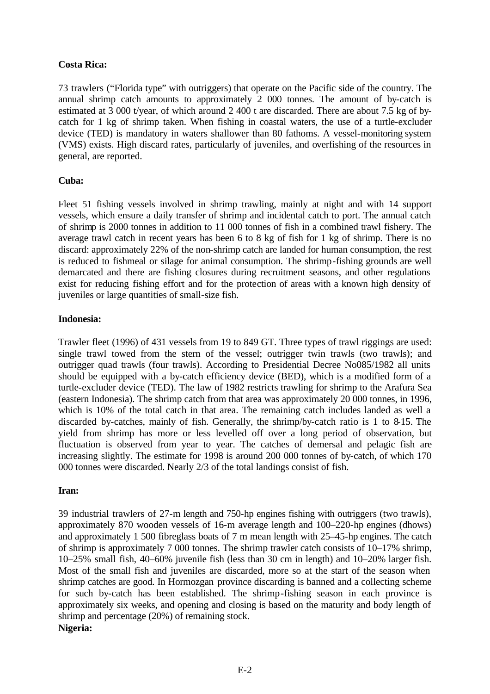## **Costa Rica:**

73 trawlers ("Florida type" with outriggers) that operate on the Pacific side of the country. The annual shrimp catch amounts to approximately 2 000 tonnes. The amount of by-catch is estimated at 3 000 t/year, of which around 2 400 t are discarded. There are about 7.5 kg of bycatch for 1 kg of shrimp taken. When fishing in coastal waters, the use of a turtle-excluder device (TED) is mandatory in waters shallower than 80 fathoms. A vessel-monitoring system (VMS) exists. High discard rates, particularly of juveniles, and overfishing of the resources in general, are reported.

## **Cuba:**

Fleet 51 fishing vessels involved in shrimp trawling, mainly at night and with 14 support vessels, which ensure a daily transfer of shrimp and incidental catch to port. The annual catch of shrimp is 2000 tonnes in addition to 11 000 tonnes of fish in a combined trawl fishery. The average trawl catch in recent years has been 6 to 8 kg of fish for 1 kg of shrimp. There is no discard: approximately 22% of the non-shrimp catch are landed for human consumption, the rest is reduced to fishmeal or silage for animal consumption. The shrimp-fishing grounds are well demarcated and there are fishing closures during recruitment seasons, and other regulations exist for reducing fishing effort and for the protection of areas with a known high density of juveniles or large quantities of small-size fish.

### **Indonesia:**

Trawler fleet (1996) of 431 vessels from 19 to 849 GT. Three types of trawl riggings are used: single trawl towed from the stern of the vessel; outrigger twin trawls (two trawls); and outrigger quad trawls (four trawls). According to Presidential Decree No085/1982 all units should be equipped with a by-catch efficiency device (BED), which is a modified form of a turtle-excluder device (TED). The law of 1982 restricts trawling for shrimp to the Arafura Sea (eastern Indonesia). The shrimp catch from that area was approximately 20 000 tonnes, in 1996, which is 10% of the total catch in that area. The remaining catch includes landed as well a discarded by-catches, mainly of fish. Generally, the shrimp/by-catch ratio is 1 to 8-15. The yield from shrimp has more or less levelled off over a long period of observation, but fluctuation is observed from year to year. The catches of demersal and pelagic fish are increasing slightly. The estimate for 1998 is around 200 000 tonnes of by-catch, of which 170 000 tonnes were discarded. Nearly 2/3 of the total landings consist of fish.

### **Iran:**

39 industrial trawlers of 27-m length and 750-hp engines fishing with outriggers (two trawls), approximately 870 wooden vessels of 16-m average length and 100–220-hp engines (dhows) and approximately 1 500 fibreglass boats of 7 m mean length with 25–45-hp engines. The catch of shrimp is approximately 7 000 tonnes. The shrimp trawler catch consists of 10–17% shrimp, 10–25% small fish, 40–60% juvenile fish (less than 30 cm in length) and 10–20% larger fish. Most of the small fish and juveniles are discarded, more so at the start of the season when shrimp catches are good. In Hormozgan province discarding is banned and a collecting scheme for such by-catch has been established. The shrimp-fishing season in each province is approximately six weeks, and opening and closing is based on the maturity and body length of shrimp and percentage (20%) of remaining stock. **Nigeria:**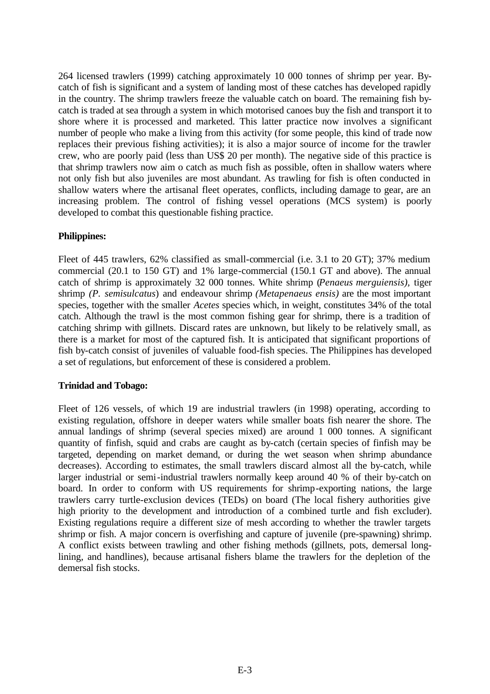264 licensed trawlers (1999) catching approximately 10 000 tonnes of shrimp per year. Bycatch of fish is significant and a system of landing most of these catches has developed rapidly in the country. The shrimp trawlers freeze the valuable catch on board. The remaining fish bycatch is traded at sea through a system in which motorised canoes buy the fish and transport it to shore where it is processed and marketed. This latter practice now involves a significant number of people who make a living from this activity (for some people, this kind of trade now replaces their previous fishing activities); it is also a major source of income for the trawler crew, who are poorly paid (less than US\$ 20 per month). The negative side of this practice is that shrimp trawlers now aim o catch as much fish as possible, often in shallow waters where not only fish but also juveniles are most abundant. As trawling for fish is often conducted in shallow waters where the artisanal fleet operates, conflicts, including damage to gear, are an increasing problem. The control of fishing vessel operations (MCS system) is poorly developed to combat this questionable fishing practice.

## **Philippines:**

Fleet of 445 trawlers, 62% classified as small-commercial (i.e. 3.1 to 20 GT); 37% medium commercial (20.1 to 150 GT) and 1% large-commercial (150.1 GT and above). The annual catch of shrimp is approximately 32 000 tonnes. White shrimp (*Penaeus merguiensis),* tiger shrimp *(P. semisulcatus*) and endeavour shrimp *(Metapenaeus ensis)* are the most important species, together with the smaller *Acetes* species which, in weight, constitutes 34% of the total catch. Although the trawl is the most common fishing gear for shrimp, there is a tradition of catching shrimp with gillnets. Discard rates are unknown, but likely to be relatively small, as there is a market for most of the captured fish. It is anticipated that significant proportions of fish by-catch consist of juveniles of valuable food-fish species. The Philippines has developed a set of regulations, but enforcement of these is considered a problem.

### **Trinidad and Tobago:**

Fleet of 126 vessels, of which 19 are industrial trawlers (in 1998) operating, according to existing regulation, offshore in deeper waters while smaller boats fish nearer the shore. The annual landings of shrimp (several species mixed) are around 1 000 tonnes. A significant quantity of finfish, squid and crabs are caught as by-catch (certain species of finfish may be targeted, depending on market demand, or during the wet season when shrimp abundance decreases). According to estimates, the small trawlers discard almost all the by-catch, while larger industrial or semi-industrial trawlers normally keep around 40 % of their by-catch on board. In order to conform with US requirements for shrimp-exporting nations, the large trawlers carry turtle-exclusion devices (TEDs) on board (The local fishery authorities give high priority to the development and introduction of a combined turtle and fish excluder). Existing regulations require a different size of mesh according to whether the trawler targets shrimp or fish. A major concern is overfishing and capture of juvenile (pre-spawning) shrimp. A conflict exists between trawling and other fishing methods (gillnets, pots, demersal longlining, and handlines), because artisanal fishers blame the trawlers for the depletion of the demersal fish stocks.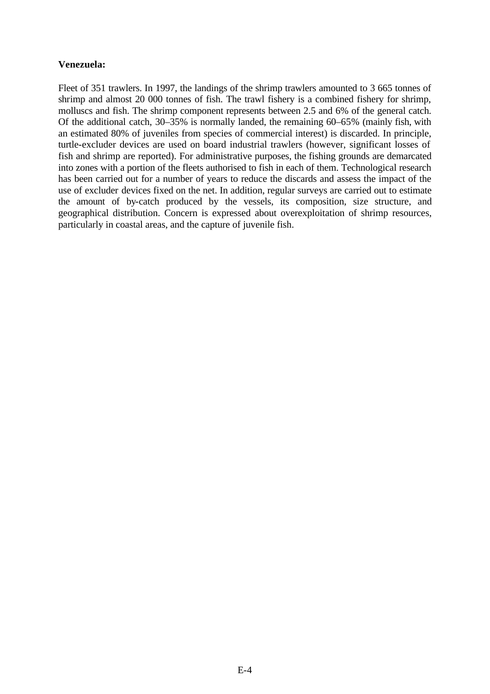## **Venezuela:**

Fleet of 351 trawlers. In 1997, the landings of the shrimp trawlers amounted to 3 665 tonnes of shrimp and almost 20 000 tonnes of fish. The trawl fishery is a combined fishery for shrimp, molluscs and fish. The shrimp component represents between 2.5 and 6% of the general catch. Of the additional catch, 30–35% is normally landed, the remaining 60–65% (mainly fish, with an estimated 80% of juveniles from species of commercial interest) is discarded. In principle, turtle-excluder devices are used on board industrial trawlers (however, significant losses of fish and shrimp are reported). For administrative purposes, the fishing grounds are demarcated into zones with a portion of the fleets authorised to fish in each of them. Technological research has been carried out for a number of years to reduce the discards and assess the impact of the use of excluder devices fixed on the net. In addition, regular surveys are carried out to estimate the amount of by-catch produced by the vessels, its composition, size structure, and geographical distribution. Concern is expressed about overexploitation of shrimp resources, particularly in coastal areas, and the capture of juvenile fish.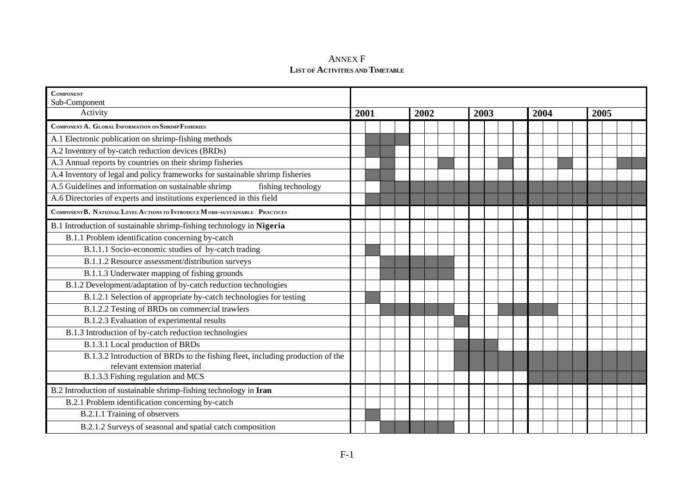| <b>ANNEX F</b>                          |
|-----------------------------------------|
| <b>LIST OF ACTIVITIES AND TIMETABLE</b> |

| <b>COMPONENT</b>                                                                                              |      |  |  |  |      |  |      |  |  |  |  |      |  |  |      |  |  |  |  |
|---------------------------------------------------------------------------------------------------------------|------|--|--|--|------|--|------|--|--|--|--|------|--|--|------|--|--|--|--|
| Sub-Component<br>Activity                                                                                     | 2001 |  |  |  | 2002 |  | 2003 |  |  |  |  | 2004 |  |  | 2005 |  |  |  |  |
| COMPONENT A. GLOBAL INFORMATION ON SHRIMP FISHERIES                                                           |      |  |  |  |      |  |      |  |  |  |  |      |  |  |      |  |  |  |  |
| A.1 Electronic publication on shrimp-fishing methods                                                          |      |  |  |  |      |  |      |  |  |  |  |      |  |  |      |  |  |  |  |
| A.2 Inventory of by-catch reduction devices (BRDs)                                                            |      |  |  |  |      |  |      |  |  |  |  |      |  |  |      |  |  |  |  |
| A.3 Annual reports by countries on their shrimp fisheries                                                     |      |  |  |  |      |  |      |  |  |  |  |      |  |  |      |  |  |  |  |
| A.4 Inventory of legal and policy frameworks for sustainable shrimp fisheries                                 |      |  |  |  |      |  |      |  |  |  |  |      |  |  |      |  |  |  |  |
| A.5 Guidelines and information on sustainable shrimp<br>fishing technology                                    |      |  |  |  |      |  |      |  |  |  |  |      |  |  |      |  |  |  |  |
| A.6 Directories of experts and institutions experienced in this field                                         |      |  |  |  |      |  |      |  |  |  |  |      |  |  |      |  |  |  |  |
| COMPONENT B. NATIONAL LEVEL A CTIONS TO INTRODUCE MORE-SUSTAINABLE PRACTICES                                  |      |  |  |  |      |  |      |  |  |  |  |      |  |  |      |  |  |  |  |
| B.1 Introduction of sustainable shrimp-fishing technology in Nigeria                                          |      |  |  |  |      |  |      |  |  |  |  |      |  |  |      |  |  |  |  |
| B.1.1 Problem identification concerning by-catch                                                              |      |  |  |  |      |  |      |  |  |  |  |      |  |  |      |  |  |  |  |
| B.1.1.1 Socio-economic studies of by-catch trading                                                            |      |  |  |  |      |  |      |  |  |  |  |      |  |  |      |  |  |  |  |
| B.1.1.2 Resource assessment/distribution surveys                                                              |      |  |  |  |      |  |      |  |  |  |  |      |  |  |      |  |  |  |  |
| B.1.1.3 Underwater mapping of fishing grounds                                                                 |      |  |  |  |      |  |      |  |  |  |  |      |  |  |      |  |  |  |  |
| B.1.2 Development/adaptation of by-catch reduction technologies                                               |      |  |  |  |      |  |      |  |  |  |  |      |  |  |      |  |  |  |  |
| B.1.2.1 Selection of appropriate by-catch technologies for testing                                            |      |  |  |  |      |  |      |  |  |  |  |      |  |  |      |  |  |  |  |
| B.1.2.2 Testing of BRDs on commercial trawlers                                                                |      |  |  |  |      |  |      |  |  |  |  |      |  |  |      |  |  |  |  |
| B.1.2.3 Evaluation of experimental results                                                                    |      |  |  |  |      |  |      |  |  |  |  |      |  |  |      |  |  |  |  |
| B.1.3 Introduction of by-catch reduction technologies                                                         |      |  |  |  |      |  |      |  |  |  |  |      |  |  |      |  |  |  |  |
| B.1.3.1 Local production of BRDs                                                                              |      |  |  |  |      |  |      |  |  |  |  |      |  |  |      |  |  |  |  |
| B.1.3.2 Introduction of BRDs to the fishing fleet, including production of the<br>relevant extension material |      |  |  |  |      |  |      |  |  |  |  |      |  |  |      |  |  |  |  |
| B.1.3.3 Fishing regulation and MCS                                                                            |      |  |  |  |      |  |      |  |  |  |  |      |  |  |      |  |  |  |  |
| B.2 Introduction of sustainable shrimp-fishing technology in Iran                                             |      |  |  |  |      |  |      |  |  |  |  |      |  |  |      |  |  |  |  |
| B.2.1 Problem identification concerning by-catch                                                              |      |  |  |  |      |  |      |  |  |  |  |      |  |  |      |  |  |  |  |
| B.2.1.1 Training of observers                                                                                 |      |  |  |  |      |  |      |  |  |  |  |      |  |  |      |  |  |  |  |
| B.2.1.2 Surveys of seasonal and spatial catch composition                                                     |      |  |  |  |      |  |      |  |  |  |  |      |  |  |      |  |  |  |  |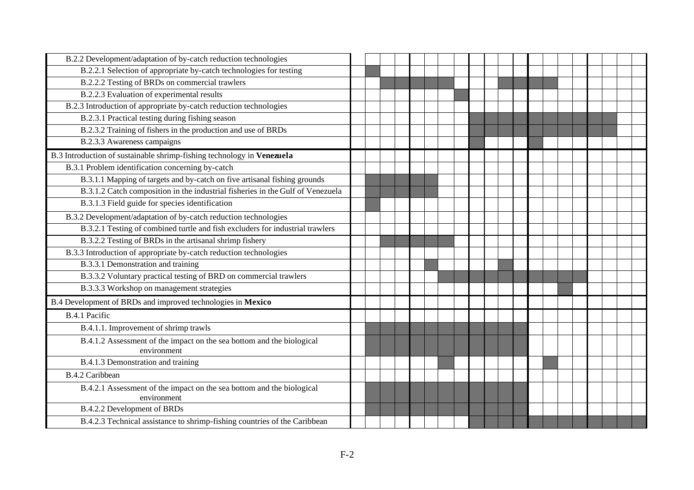| B.2.2 Development/adaptation of by-catch reduction technologies                |  |  |  |  |  |  |  |  |  |  |
|--------------------------------------------------------------------------------|--|--|--|--|--|--|--|--|--|--|
| B.2.2.1 Selection of appropriate by-catch technologies for testing             |  |  |  |  |  |  |  |  |  |  |
| B.2.2.2 Testing of BRDs on commercial trawlers                                 |  |  |  |  |  |  |  |  |  |  |
| B.2.2.3 Evaluation of experimental results                                     |  |  |  |  |  |  |  |  |  |  |
| B.2.3 Introduction of appropriate by-catch reduction technologies              |  |  |  |  |  |  |  |  |  |  |
| B.2.3.1 Practical testing during fishing season                                |  |  |  |  |  |  |  |  |  |  |
| B.2.3.2 Training of fishers in the production and use of BRDs                  |  |  |  |  |  |  |  |  |  |  |
| B.2.3.3 Awareness campaigns                                                    |  |  |  |  |  |  |  |  |  |  |
| B.3 Introduction of sustainable shrimp-fishing technology in Venezuela         |  |  |  |  |  |  |  |  |  |  |
| B.3.1 Problem identification concerning by-catch                               |  |  |  |  |  |  |  |  |  |  |
| B.3.1.1 Mapping of targets and by-catch on five artisanal fishing grounds      |  |  |  |  |  |  |  |  |  |  |
| B.3.1.2 Catch composition in the industrial fisheries in the Gulf of Venezuela |  |  |  |  |  |  |  |  |  |  |
| B.3.1.3 Field guide for species identification                                 |  |  |  |  |  |  |  |  |  |  |
| B.3.2 Development/adaptation of by-catch reduction technologies                |  |  |  |  |  |  |  |  |  |  |
| B.3.2.1 Testing of combined turtle and fish excluders for industrial trawlers  |  |  |  |  |  |  |  |  |  |  |
| B.3.2.2 Testing of BRDs in the artisanal shrimp fishery                        |  |  |  |  |  |  |  |  |  |  |
| B.3.3 Introduction of appropriate by-catch reduction technologies              |  |  |  |  |  |  |  |  |  |  |
| B.3.3.1 Demonstration and training                                             |  |  |  |  |  |  |  |  |  |  |
| B.3.3.2 Voluntary practical testing of BRD on commercial trawlers              |  |  |  |  |  |  |  |  |  |  |
| B.3.3.3 Workshop on management strategies                                      |  |  |  |  |  |  |  |  |  |  |
| B.4 Development of BRDs and improved technologies in Mexico                    |  |  |  |  |  |  |  |  |  |  |
| B.4.1 Pacific                                                                  |  |  |  |  |  |  |  |  |  |  |
| B.4.1.1. Improvement of shrimp trawls                                          |  |  |  |  |  |  |  |  |  |  |
| B.4.1.2 Assessment of the impact on the sea bottom and the biological          |  |  |  |  |  |  |  |  |  |  |
| environment                                                                    |  |  |  |  |  |  |  |  |  |  |
| B.4.1.3 Demonstration and training                                             |  |  |  |  |  |  |  |  |  |  |
| <b>B.4.2 Caribbean</b>                                                         |  |  |  |  |  |  |  |  |  |  |
| B.4.2.1 Assessment of the impact on the sea bottom and the biological          |  |  |  |  |  |  |  |  |  |  |
| environment                                                                    |  |  |  |  |  |  |  |  |  |  |
| B.4.2.2 Development of BRDs                                                    |  |  |  |  |  |  |  |  |  |  |
| B.4.2.3 Technical assistance to shrimp-fishing countries of the Caribbean      |  |  |  |  |  |  |  |  |  |  |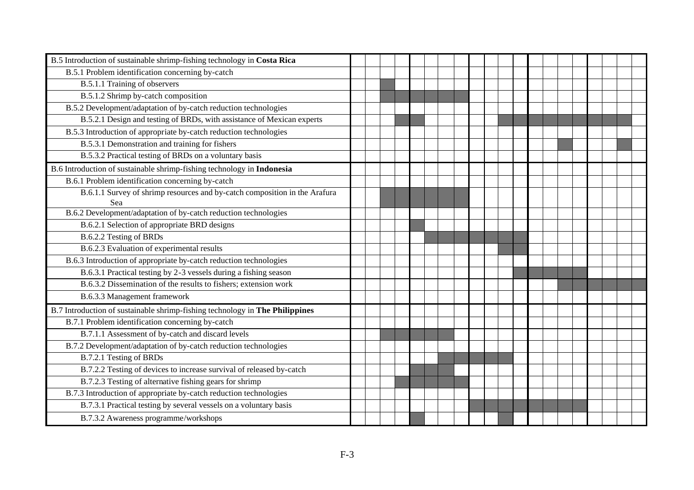| B.5 Introduction of sustainable shrimp-fishing technology in Costa Rica           |  |  |  |  |  |  |  |  |  |  |
|-----------------------------------------------------------------------------------|--|--|--|--|--|--|--|--|--|--|
| B.5.1 Problem identification concerning by-catch                                  |  |  |  |  |  |  |  |  |  |  |
| B.5.1.1 Training of observers                                                     |  |  |  |  |  |  |  |  |  |  |
| B.5.1.2 Shrimp by-catch composition                                               |  |  |  |  |  |  |  |  |  |  |
| B.5.2 Development/adaptation of by-catch reduction technologies                   |  |  |  |  |  |  |  |  |  |  |
| B.5.2.1 Design and testing of BRDs, with assistance of Mexican experts            |  |  |  |  |  |  |  |  |  |  |
| B.5.3 Introduction of appropriate by-catch reduction technologies                 |  |  |  |  |  |  |  |  |  |  |
| B.5.3.1 Demonstration and training for fishers                                    |  |  |  |  |  |  |  |  |  |  |
| B.5.3.2 Practical testing of BRDs on a voluntary basis                            |  |  |  |  |  |  |  |  |  |  |
| B.6 Introduction of sustainable shrimp-fishing technology in Indonesia            |  |  |  |  |  |  |  |  |  |  |
| B.6.1 Problem identification concerning by-catch                                  |  |  |  |  |  |  |  |  |  |  |
| B.6.1.1 Survey of shrimp resources and by-catch composition in the Arafura<br>Sea |  |  |  |  |  |  |  |  |  |  |
| B.6.2 Development/adaptation of by-catch reduction technologies                   |  |  |  |  |  |  |  |  |  |  |
| B.6.2.1 Selection of appropriate BRD designs                                      |  |  |  |  |  |  |  |  |  |  |
| B.6.2.2 Testing of BRDs                                                           |  |  |  |  |  |  |  |  |  |  |
| B.6.2.3 Evaluation of experimental results                                        |  |  |  |  |  |  |  |  |  |  |
| B.6.3 Introduction of appropriate by-catch reduction technologies                 |  |  |  |  |  |  |  |  |  |  |
| B.6.3.1 Practical testing by 2-3 vessels during a fishing season                  |  |  |  |  |  |  |  |  |  |  |
| B.6.3.2 Dissemination of the results to fishers; extension work                   |  |  |  |  |  |  |  |  |  |  |
| B.6.3.3 Management framework                                                      |  |  |  |  |  |  |  |  |  |  |
| B.7 Introduction of sustainable shrimp-fishing technology in The Philippines      |  |  |  |  |  |  |  |  |  |  |
| B.7.1 Problem identification concerning by-catch                                  |  |  |  |  |  |  |  |  |  |  |
| B.7.1.1 Assessment of by-catch and discard levels                                 |  |  |  |  |  |  |  |  |  |  |
| B.7.2 Development/adaptation of by-catch reduction technologies                   |  |  |  |  |  |  |  |  |  |  |
| B.7.2.1 Testing of BRDs                                                           |  |  |  |  |  |  |  |  |  |  |
| B.7.2.2 Testing of devices to increase survival of released by-catch              |  |  |  |  |  |  |  |  |  |  |
| B.7.2.3 Testing of alternative fishing gears for shrimp                           |  |  |  |  |  |  |  |  |  |  |
| B.7.3 Introduction of appropriate by-catch reduction technologies                 |  |  |  |  |  |  |  |  |  |  |
| B.7.3.1 Practical testing by several vessels on a voluntary basis                 |  |  |  |  |  |  |  |  |  |  |
| B.7.3.2 Awareness programme/workshops                                             |  |  |  |  |  |  |  |  |  |  |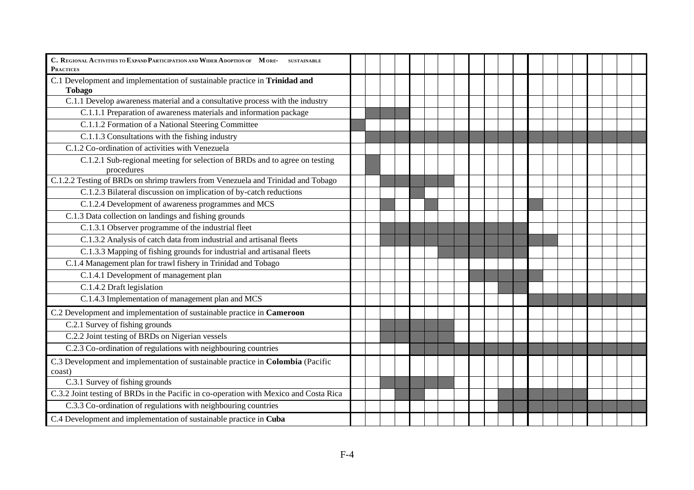| C. REGIONAL A CTIVITIES TO EXPAND PARTICIPATION AND WIDER ADOPTION OF MORE- SUSTAINABLE<br><b>PRACTICES</b> |  |  |  |  |  |  |  |  |  |
|-------------------------------------------------------------------------------------------------------------|--|--|--|--|--|--|--|--|--|
| C.1 Development and implementation of sustainable practice in Trinidad and<br><b>Tobago</b>                 |  |  |  |  |  |  |  |  |  |
| C.1.1 Develop awareness material and a consultative process with the industry                               |  |  |  |  |  |  |  |  |  |
| C.1.1.1 Preparation of awareness materials and information package                                          |  |  |  |  |  |  |  |  |  |
| C.1.1.2 Formation of a National Steering Committee                                                          |  |  |  |  |  |  |  |  |  |
| C.1.1.3 Consultations with the fishing industry                                                             |  |  |  |  |  |  |  |  |  |
| C.1.2 Co-ordination of activities with Venezuela                                                            |  |  |  |  |  |  |  |  |  |
| C.1.2.1 Sub-regional meeting for selection of BRDs and to agree on testing<br>procedures                    |  |  |  |  |  |  |  |  |  |
| C.1.2.2 Testing of BRDs on shrimp trawlers from Venezuela and Trinidad and Tobago                           |  |  |  |  |  |  |  |  |  |
| C.1.2.3 Bilateral discussion on implication of by-catch reductions                                          |  |  |  |  |  |  |  |  |  |
| C.1.2.4 Development of awareness programmes and MCS                                                         |  |  |  |  |  |  |  |  |  |
| C.1.3 Data collection on landings and fishing grounds                                                       |  |  |  |  |  |  |  |  |  |
| C.1.3.1 Observer programme of the industrial fleet                                                          |  |  |  |  |  |  |  |  |  |
| C.1.3.2 Analysis of catch data from industrial and artisanal fleets                                         |  |  |  |  |  |  |  |  |  |
| C.1.3.3 Mapping of fishing grounds for industrial and artisanal fleets                                      |  |  |  |  |  |  |  |  |  |
| C.1.4 Management plan for trawl fishery in Trinidad and Tobago                                              |  |  |  |  |  |  |  |  |  |
| C.1.4.1 Development of management plan                                                                      |  |  |  |  |  |  |  |  |  |
| C.1.4.2 Draft legislation                                                                                   |  |  |  |  |  |  |  |  |  |
| C.1.4.3 Implementation of management plan and MCS                                                           |  |  |  |  |  |  |  |  |  |
| C.2 Development and implementation of sustainable practice in Cameroon                                      |  |  |  |  |  |  |  |  |  |
| C.2.1 Survey of fishing grounds                                                                             |  |  |  |  |  |  |  |  |  |
| C.2.2 Joint testing of BRDs on Nigerian vessels                                                             |  |  |  |  |  |  |  |  |  |
| C.2.3 Co-ordination of regulations with neighbouring countries                                              |  |  |  |  |  |  |  |  |  |
| C.3 Development and implementation of sustainable practice in Colombia (Pacific<br>coast)                   |  |  |  |  |  |  |  |  |  |
| C.3.1 Survey of fishing grounds                                                                             |  |  |  |  |  |  |  |  |  |
| C.3.2 Joint testing of BRDs in the Pacific in co-operation with Mexico and Costa Rica                       |  |  |  |  |  |  |  |  |  |
| C.3.3 Co-ordination of regulations with neighbouring countries                                              |  |  |  |  |  |  |  |  |  |
| C.4 Development and implementation of sustainable practice in Cuba                                          |  |  |  |  |  |  |  |  |  |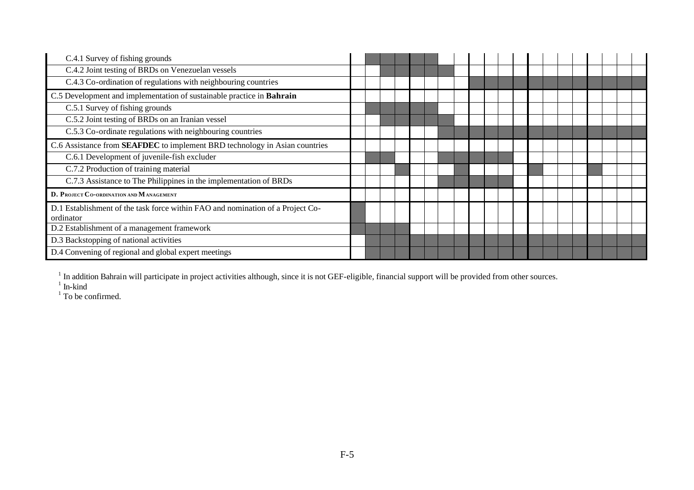| C.4.1 Survey of fishing grounds                                                             |  |  |  |  |  |  |  |  |  |  |
|---------------------------------------------------------------------------------------------|--|--|--|--|--|--|--|--|--|--|
| C.4.2 Joint testing of BRDs on Venezuelan vessels                                           |  |  |  |  |  |  |  |  |  |  |
| C.4.3 Co-ordination of regulations with neighbouring countries                              |  |  |  |  |  |  |  |  |  |  |
| C.5 Development and implementation of sustainable practice in Bahrain                       |  |  |  |  |  |  |  |  |  |  |
| C.5.1 Survey of fishing grounds                                                             |  |  |  |  |  |  |  |  |  |  |
| C.5.2 Joint testing of BRDs on an Iranian vessel                                            |  |  |  |  |  |  |  |  |  |  |
| C.5.3 Co-ordinate regulations with neighbouring countries                                   |  |  |  |  |  |  |  |  |  |  |
| C.6 Assistance from <b>SEAFDEC</b> to implement BRD technology in Asian countries           |  |  |  |  |  |  |  |  |  |  |
| C.6.1 Development of juvenile-fish excluder                                                 |  |  |  |  |  |  |  |  |  |  |
| C.7.2 Production of training material                                                       |  |  |  |  |  |  |  |  |  |  |
| C.7.3 Assistance to The Philippines in the implementation of BRDs                           |  |  |  |  |  |  |  |  |  |  |
| D. PROJECT CO-ORDINATION AND MANAGEMENT                                                     |  |  |  |  |  |  |  |  |  |  |
| D.1 Establishment of the task force within FAO and nomination of a Project Co-<br>ordinator |  |  |  |  |  |  |  |  |  |  |
| D.2 Establishment of a management framework                                                 |  |  |  |  |  |  |  |  |  |  |
| D.3 Backstopping of national activities                                                     |  |  |  |  |  |  |  |  |  |  |
| D.4 Convening of regional and global expert meetings                                        |  |  |  |  |  |  |  |  |  |  |

<sup>1</sup> In addition Bahrain will participate in project activities although, since it is not GEF-eligible, financial support will be provided from other sources.<br><sup>1</sup> To be confirmed.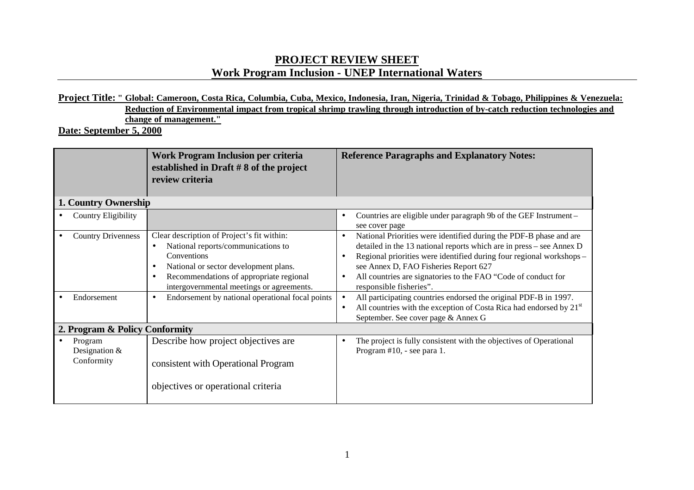# **PROJECT REVIEW SHEET Work Program Inclusion - UNEP International Waters**

## **Project Title: " Global: Cameroon, Costa Rica, Columbia, Cuba, Mexico, Indonesia, Iran, Nigeria, Trinidad & Tobago, Philippines & Venezuela: Reduction of Environmental impact from tropical shrimp trawling through introduction of by-catch reduction technologies and change of management."**

**Date: September 5, 2000** 

|           |                                          | <b>Work Program Inclusion per criteria</b><br>established in Draft $#8$ of the project<br>review criteria                                                                                                                                                  |           | <b>Reference Paragraphs and Explanatory Notes:</b>                                                                                                                                                                                                                                                                                                     |
|-----------|------------------------------------------|------------------------------------------------------------------------------------------------------------------------------------------------------------------------------------------------------------------------------------------------------------|-----------|--------------------------------------------------------------------------------------------------------------------------------------------------------------------------------------------------------------------------------------------------------------------------------------------------------------------------------------------------------|
|           | 1. Country Ownership                     |                                                                                                                                                                                                                                                            |           |                                                                                                                                                                                                                                                                                                                                                        |
|           | <b>Country Eligibility</b>               |                                                                                                                                                                                                                                                            | $\bullet$ | Countries are eligible under paragraph 9b of the GEF Instrument -<br>see cover page                                                                                                                                                                                                                                                                    |
|           | <b>Country Drivenness</b>                | Clear description of Project's fit within:<br>National reports/communications to<br>Conventions<br>National or sector development plans.<br>$\bullet$<br>Recommendations of appropriate regional<br>$\bullet$<br>intergovernmental meetings or agreements. |           | National Priorities were identified during the PDF-B phase and are<br>detailed in the 13 national reports which are in press - see Annex D<br>Regional priorities were identified during four regional workshops-<br>see Annex D, FAO Fisheries Report 627<br>All countries are signatories to the FAO "Code of conduct for<br>responsible fisheries". |
|           | Endorsement                              | Endorsement by national operational focal points<br>$\bullet$                                                                                                                                                                                              | $\bullet$ | All participating countries endorsed the original PDF-B in 1997.<br>All countries with the exception of Costa Rica had endorsed by $21st$<br>September. See cover page & Annex G                                                                                                                                                                       |
|           | 2. Program & Policy Conformity           |                                                                                                                                                                                                                                                            |           |                                                                                                                                                                                                                                                                                                                                                        |
| $\bullet$ | Program<br>Designation $&$<br>Conformity | Describe how project objectives are<br>consistent with Operational Program<br>objectives or operational criteria                                                                                                                                           |           | The project is fully consistent with the objectives of Operational<br>Program #10, - see para 1.                                                                                                                                                                                                                                                       |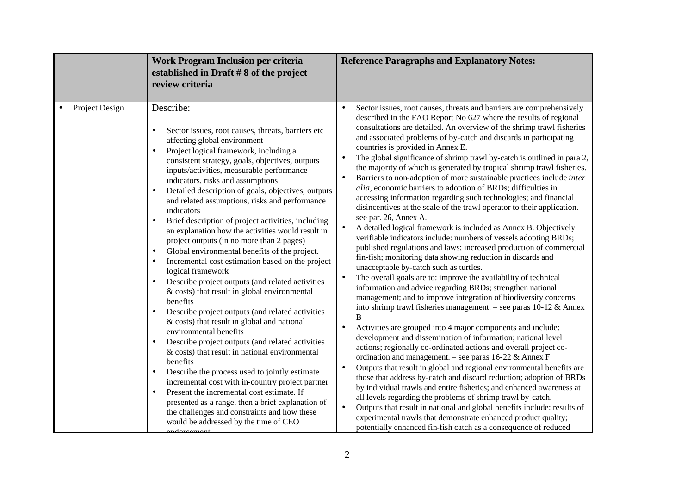|                | Work Program Inclusion per criteria<br>established in Draft $#8$ of the project<br>review criteria                                                                                                                                                                                                                                                                                                                                                                                                                                                                                                                                                                                                                                                                                                                                                                                                                                                                                                                                                                                                                                                                                                                                                                                                                                                                                                                                                                                                   | <b>Reference Paragraphs and Explanatory Notes:</b>                                                                                                                                                                                                                                                                                                                                                                                                                                                                                                                                                                                                                                                                                                                                                                                                                                                                                                                                                                                                                                                                                                                                                                                                                                                                                                                                                                                                                                                                                                                                                                                                                                                                                                                                                                                                                                                                                                                                                                                                                                                                                                                                                                                                                                             |
|----------------|------------------------------------------------------------------------------------------------------------------------------------------------------------------------------------------------------------------------------------------------------------------------------------------------------------------------------------------------------------------------------------------------------------------------------------------------------------------------------------------------------------------------------------------------------------------------------------------------------------------------------------------------------------------------------------------------------------------------------------------------------------------------------------------------------------------------------------------------------------------------------------------------------------------------------------------------------------------------------------------------------------------------------------------------------------------------------------------------------------------------------------------------------------------------------------------------------------------------------------------------------------------------------------------------------------------------------------------------------------------------------------------------------------------------------------------------------------------------------------------------------|------------------------------------------------------------------------------------------------------------------------------------------------------------------------------------------------------------------------------------------------------------------------------------------------------------------------------------------------------------------------------------------------------------------------------------------------------------------------------------------------------------------------------------------------------------------------------------------------------------------------------------------------------------------------------------------------------------------------------------------------------------------------------------------------------------------------------------------------------------------------------------------------------------------------------------------------------------------------------------------------------------------------------------------------------------------------------------------------------------------------------------------------------------------------------------------------------------------------------------------------------------------------------------------------------------------------------------------------------------------------------------------------------------------------------------------------------------------------------------------------------------------------------------------------------------------------------------------------------------------------------------------------------------------------------------------------------------------------------------------------------------------------------------------------------------------------------------------------------------------------------------------------------------------------------------------------------------------------------------------------------------------------------------------------------------------------------------------------------------------------------------------------------------------------------------------------------------------------------------------------------------------------------------------------|
| Project Design | Describe:<br>Sector issues, root causes, threats, barriers etc<br>$\bullet$<br>affecting global environment<br>Project logical framework, including a<br>$\bullet$<br>consistent strategy, goals, objectives, outputs<br>inputs/activities, measurable performance<br>indicators, risks and assumptions<br>Detailed description of goals, objectives, outputs<br>and related assumptions, risks and performance<br>indicators<br>Brief description of project activities, including<br>$\bullet$<br>an explanation how the activities would result in<br>project outputs (in no more than 2 pages)<br>Global environmental benefits of the project.<br>$\bullet$<br>Incremental cost estimation based on the project<br>$\bullet$<br>logical framework<br>Describe project outputs (and related activities<br>$\bullet$<br>& costs) that result in global environmental<br>benefits<br>Describe project outputs (and related activities<br>$\bullet$<br>& costs) that result in global and national<br>environmental benefits<br>Describe project outputs (and related activities<br>$\bullet$<br>& costs) that result in national environmental<br>benefits<br>Describe the process used to jointly estimate<br>$\bullet$<br>incremental cost with in-country project partner<br>Present the incremental cost estimate. If<br>$\bullet$<br>presented as a range, then a brief explanation of<br>the challenges and constraints and how these<br>would be addressed by the time of CEO<br>ndorcamont | Sector issues, root causes, threats and barriers are comprehensively<br>$\bullet$<br>described in the FAO Report No 627 where the results of regional<br>consultations are detailed. An overview of the shrimp trawl fisheries<br>and associated problems of by-catch and discards in participating<br>countries is provided in Annex E.<br>The global significance of shrimp trawl by-catch is outlined in para 2,<br>$\bullet$<br>the majority of which is generated by tropical shrimp trawl fisheries.<br>Barriers to non-adoption of more sustainable practices include <i>inter</i><br>$\bullet$<br>alia, economic barriers to adoption of BRDs; difficulties in<br>accessing information regarding such technologies; and financial<br>disincentives at the scale of the trawl operator to their application. -<br>see par. 26, Annex A.<br>A detailed logical framework is included as Annex B. Objectively<br>$\bullet$<br>verifiable indicators include: numbers of vessels adopting BRDs;<br>published regulations and laws; increased production of commercial<br>fin-fish; monitoring data showing reduction in discards and<br>unacceptable by-catch such as turtles.<br>The overall goals are to: improve the availability of technical<br>$\bullet$<br>information and advice regarding BRDs; strengthen national<br>management; and to improve integration of biodiversity concerns<br>into shrimp trawl fisheries management. - see paras $10-12$ & Annex<br>B<br>Activities are grouped into 4 major components and include:<br>$\bullet$<br>development and dissemination of information; national level<br>actions; regionally co-ordinated actions and overall project co-<br>ordination and management. – see paras $16-22 \&$ Annex F<br>Outputs that result in global and regional environmental benefits are<br>$\bullet$<br>those that address by-catch and discard reduction; adoption of BRDs<br>by individual trawls and entire fisheries; and enhanced awareness at<br>all levels regarding the problems of shrimp trawl by-catch.<br>Outputs that result in national and global benefits include: results of<br>$\bullet$<br>experimental trawls that demonstrate enhanced product quality;<br>potentially enhanced fin-fish catch as a consequence of reduced |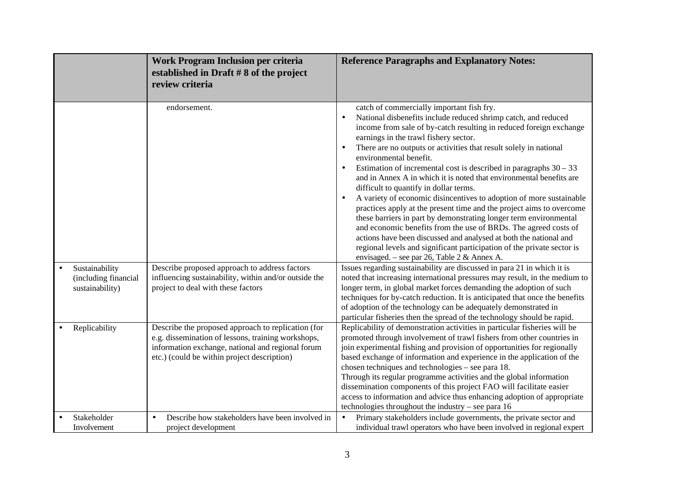|                                                           | <b>Work Program Inclusion per criteria</b><br>established in Draft $#8$ of the project<br>review criteria                                                                                                    | <b>Reference Paragraphs and Explanatory Notes:</b>                                                                                                                                                                                                                                                                                                                                                                                                                                                                                                                                                                                                                                                                                                                                                                                                                                                                                                                                                                                                                                                                                                                                                                                                                                                                                                                                                                                                                                                         |
|-----------------------------------------------------------|--------------------------------------------------------------------------------------------------------------------------------------------------------------------------------------------------------------|------------------------------------------------------------------------------------------------------------------------------------------------------------------------------------------------------------------------------------------------------------------------------------------------------------------------------------------------------------------------------------------------------------------------------------------------------------------------------------------------------------------------------------------------------------------------------------------------------------------------------------------------------------------------------------------------------------------------------------------------------------------------------------------------------------------------------------------------------------------------------------------------------------------------------------------------------------------------------------------------------------------------------------------------------------------------------------------------------------------------------------------------------------------------------------------------------------------------------------------------------------------------------------------------------------------------------------------------------------------------------------------------------------------------------------------------------------------------------------------------------------|
| Sustainability<br>(including financial<br>sustainability) | endorsement.<br>Describe proposed approach to address factors<br>influencing sustainability, within and/or outside the<br>project to deal with these factors                                                 | catch of commercially important fish fry.<br>National disbenefits include reduced shrimp catch, and reduced<br>$\bullet$<br>income from sale of by-catch resulting in reduced foreign exchange<br>earnings in the trawl fishery sector.<br>There are no outputs or activities that result solely in national<br>environmental benefit.<br>Estimation of incremental cost is described in paragraphs $30 - 33$<br>$\bullet$<br>and in Annex A in which it is noted that environmental benefits are<br>difficult to quantify in dollar terms.<br>A variety of economic disincentives to adoption of more sustainable<br>$\bullet$<br>practices apply at the present time and the project aims to overcome<br>these barriers in part by demonstrating longer term environmental<br>and economic benefits from the use of BRDs. The agreed costs of<br>actions have been discussed and analysed at both the national and<br>regional levels and significant participation of the private sector is<br>envisaged. – see par 26, Table 2 & Annex A.<br>Issues regarding sustainability are discussed in para 21 in which it is<br>noted that increasing international pressures may result, in the medium to<br>longer term, in global market forces demanding the adoption of such<br>techniques for by-catch reduction. It is anticipated that once the benefits<br>of adoption of the technology can be adequately demonstrated in<br>particular fisheries then the spread of the technology should be rapid. |
| Replicability                                             | Describe the proposed approach to replication (for<br>e.g. dissemination of lessons, training workshops,<br>information exchange, national and regional forum<br>etc.) (could be within project description) | Replicability of demonstration activities in particular fisheries will be<br>promoted through involvement of trawl fishers from other countries in<br>join experimental fishing and provision of opportunities for regionally<br>based exchange of information and experience in the application of the<br>chosen techniques and technologies – see para 18.<br>Through its regular programme activities and the global information<br>dissemination components of this project FAO will facilitate easier<br>access to information and advice thus enhancing adoption of appropriate<br>technologies throughout the industry – see para 16                                                                                                                                                                                                                                                                                                                                                                                                                                                                                                                                                                                                                                                                                                                                                                                                                                                                |
| Stakeholder<br>Involvement                                | Describe how stakeholders have been involved in<br>$\bullet$<br>project development                                                                                                                          | Primary stakeholders include governments, the private sector and<br>$\bullet$<br>individual trawl operators who have been involved in regional expert                                                                                                                                                                                                                                                                                                                                                                                                                                                                                                                                                                                                                                                                                                                                                                                                                                                                                                                                                                                                                                                                                                                                                                                                                                                                                                                                                      |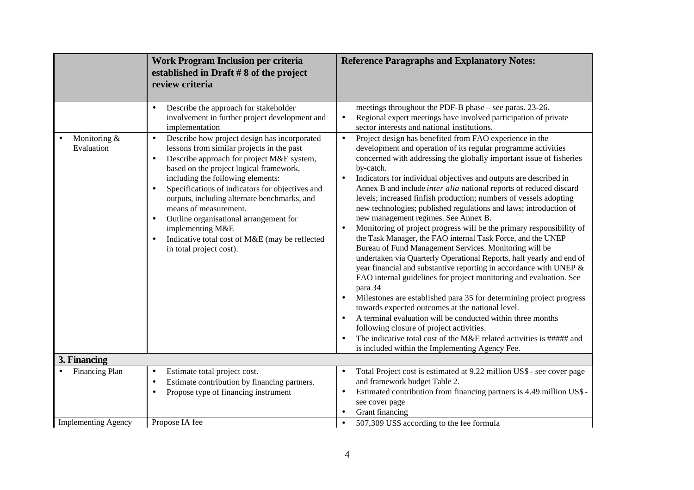| meetings throughout the PDF-B phase – see paras. 23-26.<br>Describe the approach for stakeholder<br>involvement in further project development and<br>Regional expert meetings have involved participation of private<br>$\bullet$<br>implementation<br>sector interests and national institutions.<br>Project design has benefited from FAO experience in the<br>Describe how project design has incorporated<br>Monitoring &<br>$\bullet$<br>$\bullet$<br>Evaluation<br>lessons from similar projects in the past<br>development and operation of its regular programme activities<br>Describe approach for project M&E system,<br>$\bullet$<br>by-catch.<br>based on the project logical framework,<br>including the following elements:<br>Indicators for individual objectives and outputs are described in<br>$\bullet$<br>Specifications of indicators for objectives and<br>$\bullet$<br>outputs, including alternate benchmarks, and<br>means of measurement.<br>new management regimes. See Annex B.<br>Outline organisational arrangement for<br>implementing M&E<br>$\bullet$<br>the Task Manager, the FAO internal Task Force, and the UNEP<br>Indicative total cost of M&E (may be reflected<br>Bureau of Fund Management Services. Monitoring will be<br>in total project cost).<br>para 34<br>$\bullet$<br>towards expected outcomes at the national level.<br>A terminal evaluation will be conducted within three months<br>following closure of project activities.<br>is included within the Implementing Agency Fee.<br>3. Financing<br>Financing Plan<br>Estimate total project cost.<br>$\bullet$<br>$\bullet$<br>Estimate contribution by financing partners.<br>and framework budget Table 2.<br>$\bullet$<br>Propose type of financing instrument<br>$\bullet$<br>$\bullet$<br>see cover page | Work Program Inclusion per criteria<br>established in Draft $#8$ of the project<br>review criteria | <b>Reference Paragraphs and Explanatory Notes:</b>                                                                                                                                                                                                                                                                                                                                                                                                                                                                                                                                                                                                                                                                                    |
|-------------------------------------------------------------------------------------------------------------------------------------------------------------------------------------------------------------------------------------------------------------------------------------------------------------------------------------------------------------------------------------------------------------------------------------------------------------------------------------------------------------------------------------------------------------------------------------------------------------------------------------------------------------------------------------------------------------------------------------------------------------------------------------------------------------------------------------------------------------------------------------------------------------------------------------------------------------------------------------------------------------------------------------------------------------------------------------------------------------------------------------------------------------------------------------------------------------------------------------------------------------------------------------------------------------------------------------------------------------------------------------------------------------------------------------------------------------------------------------------------------------------------------------------------------------------------------------------------------------------------------------------------------------------------------------------------------------------------------------------------------------------------------------------------------------------------|----------------------------------------------------------------------------------------------------|---------------------------------------------------------------------------------------------------------------------------------------------------------------------------------------------------------------------------------------------------------------------------------------------------------------------------------------------------------------------------------------------------------------------------------------------------------------------------------------------------------------------------------------------------------------------------------------------------------------------------------------------------------------------------------------------------------------------------------------|
|                                                                                                                                                                                                                                                                                                                                                                                                                                                                                                                                                                                                                                                                                                                                                                                                                                                                                                                                                                                                                                                                                                                                                                                                                                                                                                                                                                                                                                                                                                                                                                                                                                                                                                                                                                                                                         |                                                                                                    | concerned with addressing the globally important issue of fisheries<br>Annex B and include <i>inter alia</i> national reports of reduced discard<br>levels; increased finfish production; numbers of vessels adopting<br>new technologies; published regulations and laws; introduction of<br>Monitoring of project progress will be the primary responsibility of<br>undertaken via Quarterly Operational Reports, half yearly and end of<br>year financial and substantive reporting in accordance with UNEP &<br>FAO internal guidelines for project monitoring and evaluation. See<br>Milestones are established para 35 for determining project progress<br>The indicative total cost of the M&E related activities is ##### and |
|                                                                                                                                                                                                                                                                                                                                                                                                                                                                                                                                                                                                                                                                                                                                                                                                                                                                                                                                                                                                                                                                                                                                                                                                                                                                                                                                                                                                                                                                                                                                                                                                                                                                                                                                                                                                                         |                                                                                                    |                                                                                                                                                                                                                                                                                                                                                                                                                                                                                                                                                                                                                                                                                                                                       |
| Grant financing<br>$\bullet$<br><b>Implementing Agency</b><br>Propose IA fee<br>507,309 US\$ according to the fee formula<br>$\bullet$                                                                                                                                                                                                                                                                                                                                                                                                                                                                                                                                                                                                                                                                                                                                                                                                                                                                                                                                                                                                                                                                                                                                                                                                                                                                                                                                                                                                                                                                                                                                                                                                                                                                                  |                                                                                                    | Total Project cost is estimated at 9.22 million US\$ - see cover page<br>Estimated contribution from financing partners is 4.49 million US\$ -                                                                                                                                                                                                                                                                                                                                                                                                                                                                                                                                                                                        |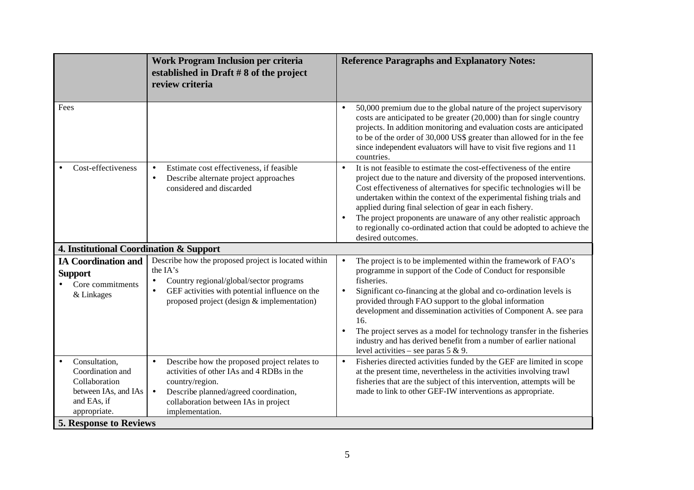|                                                                                                                                            | Work Program Inclusion per criteria<br>established in Draft $#8$ of the project<br>review criteria                                                                                                                                         | <b>Reference Paragraphs and Explanatory Notes:</b>                                                                                                                                                                                                                                                                                                                                                                                                                                                                                                                                       |
|--------------------------------------------------------------------------------------------------------------------------------------------|--------------------------------------------------------------------------------------------------------------------------------------------------------------------------------------------------------------------------------------------|------------------------------------------------------------------------------------------------------------------------------------------------------------------------------------------------------------------------------------------------------------------------------------------------------------------------------------------------------------------------------------------------------------------------------------------------------------------------------------------------------------------------------------------------------------------------------------------|
| Fees                                                                                                                                       |                                                                                                                                                                                                                                            | 50,000 premium due to the global nature of the project supervisory<br>$\bullet$<br>costs are anticipated to be greater $(20,000)$ than for single country<br>projects. In addition monitoring and evaluation costs are anticipated<br>to be of the order of 30,000 US\$ greater than allowed for in the fee<br>since independent evaluators will have to visit five regions and 11<br>countries.                                                                                                                                                                                         |
| Cost-effectiveness                                                                                                                         | Estimate cost effectiveness, if feasible<br>$\bullet$<br>Describe alternate project approaches<br>$\bullet$<br>considered and discarded                                                                                                    | It is not feasible to estimate the cost-effectiveness of the entire<br>$\bullet$<br>project due to the nature and diversity of the proposed interventions.<br>Cost effectiveness of alternatives for specific technologies will be<br>undertaken within the context of the experimental fishing trials and<br>applied during final selection of gear in each fishery.<br>The project proponents are unaware of any other realistic approach<br>$\bullet$<br>to regionally co-ordinated action that could be adopted to achieve the<br>desired outcomes.                                  |
| 4. Institutional Coordination & Support                                                                                                    |                                                                                                                                                                                                                                            |                                                                                                                                                                                                                                                                                                                                                                                                                                                                                                                                                                                          |
| <b>IA Coordination and</b><br><b>Support</b><br>Core commitments<br>& Linkages                                                             | Describe how the proposed project is located within<br>the IA's<br>Country regional/global/sector programs<br>$\bullet$<br>GEF activities with potential influence on the<br>$\bullet$<br>proposed project (design & implementation)       | The project is to be implemented within the framework of FAO's<br>$\bullet$<br>programme in support of the Code of Conduct for responsible<br>fisheries.<br>Significant co-financing at the global and co-ordination levels is<br>$\bullet$<br>provided through FAO support to the global information<br>development and dissemination activities of Component A. see para<br>16.<br>The project serves as a model for technology transfer in the fisheries<br>$\bullet$<br>industry and has derived benefit from a number of earlier national<br>level activities – see paras $5 & 9$ . |
| Consultation,<br>Coordination and<br>Collaboration<br>between IAs, and IAs<br>and EAs, if<br>appropriate.<br><b>5. Response to Reviews</b> | Describe how the proposed project relates to<br>$\bullet$<br>activities of other IAs and 4 RDBs in the<br>country/region.<br>Describe planned/agreed coordination,<br>$\bullet$<br>collaboration between IAs in project<br>implementation. | Fisheries directed activities funded by the GEF are limited in scope<br>$\bullet$<br>at the present time, nevertheless in the activities involving trawl<br>fisheries that are the subject of this intervention, attempts will be<br>made to link to other GEF-IW interventions as appropriate.                                                                                                                                                                                                                                                                                          |